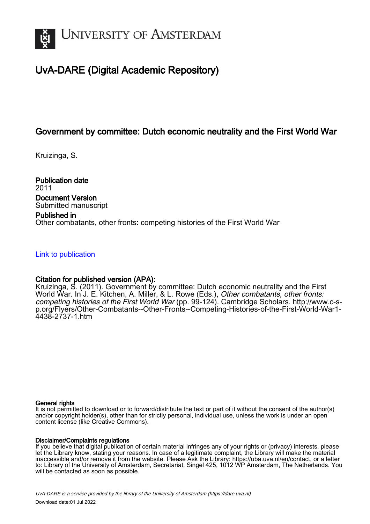

# UvA-DARE (Digital Academic Repository)

# Government by committee: Dutch economic neutrality and the First World War

Kruizinga, S.

Publication date 2011 Document Version Submitted manuscript

#### Published in

Other combatants, other fronts: competing histories of the First World War

#### [Link to publication](https://dare.uva.nl/personal/pure/en/publications/government-by-committee-dutch-economic-neutrality-and-the-first-world-war(9c99fbc8-dba9-4dd5-8333-46b99ade015e).html)

# Citation for published version (APA):

Kruizinga, S. (2011). Government by committee: Dutch economic neutrality and the First World War. In J. E. Kitchen, A. Miller, & L. Rowe (Eds.), *Other combatants, other fronts:* competing histories of the First World War (pp. 99-124). Cambridge Scholars. [http://www.c-s](http://www.c-s-p.org/Flyers/Other-Combatants--Other-Fronts--Competing-Histories-of-the-First-World-War1-4438-2737-1.htm)[p.org/Flyers/Other-Combatants--Other-Fronts--Competing-Histories-of-the-First-World-War1-](http://www.c-s-p.org/Flyers/Other-Combatants--Other-Fronts--Competing-Histories-of-the-First-World-War1-4438-2737-1.htm) [4438-2737-1.htm](http://www.c-s-p.org/Flyers/Other-Combatants--Other-Fronts--Competing-Histories-of-the-First-World-War1-4438-2737-1.htm)

#### General rights

It is not permitted to download or to forward/distribute the text or part of it without the consent of the author(s) and/or copyright holder(s), other than for strictly personal, individual use, unless the work is under an open content license (like Creative Commons).

#### Disclaimer/Complaints regulations

If you believe that digital publication of certain material infringes any of your rights or (privacy) interests, please let the Library know, stating your reasons. In case of a legitimate complaint, the Library will make the material inaccessible and/or remove it from the website. Please Ask the Library: https://uba.uva.nl/en/contact, or a letter to: Library of the University of Amsterdam, Secretariat, Singel 425, 1012 WP Amsterdam, The Netherlands. You will be contacted as soon as possible.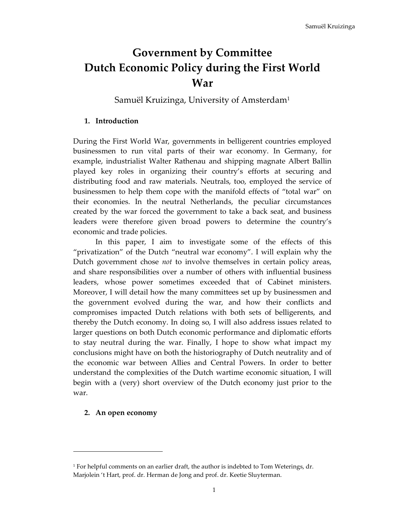# **Government by Committee Dutch Economic Policy during the First World War**

Samuël Kruizinga, University of Amsterdam<sup>1</sup>

## **1. Introduction**

During the First World War, governments in belligerent countries employed businessmen to run vital parts of their war economy. In Germany, for example, industrialist Walter Rathenau and shipping magnate Albert Ballin played key roles in organizing their country's efforts at securing and distributing food and raw materials. Neutrals, too, employed the service of businessmen to help them cope with the manifold effects of "total war" on their economies. In the neutral Netherlands, the peculiar circumstances created by the war forced the government to take a back seat, and business leaders were therefore given broad powers to determine the country's economic and trade policies.

 In this paper, I aim to investigate some of the effects of this "privatization" of the Dutch "neutral war economy". I will explain why the Dutch government chose *not* to involve themselves in certain policy areas, and share responsibilities over a number of others with influential business leaders, whose power sometimes exceeded that of Cabinet ministers. Moreover, I will detail how the many committees set up by businessmen and the government evolved during the war, and how their conflicts and compromises impacted Dutch relations with both sets of belligerents, and thereby the Dutch economy. In doing so, I will also address issues related to larger questions on both Dutch economic performance and diplomatic efforts to stay neutral during the war. Finally, I hope to show what impact my conclusions might have on both the historiography of Dutch neutrality and of the economic war between Allies and Central Powers. In order to better understand the complexities of the Dutch wartime economic situation, I will begin with a (very) short overview of the Dutch economy just prior to the war.

# **2. An open economy**

<sup>1</sup> For helpful comments on an earlier draft, the author is indebted to Tom Weterings, dr. Marjolein 't Hart, prof. dr. Herman de Jong and prof. dr. Keetie Sluyterman.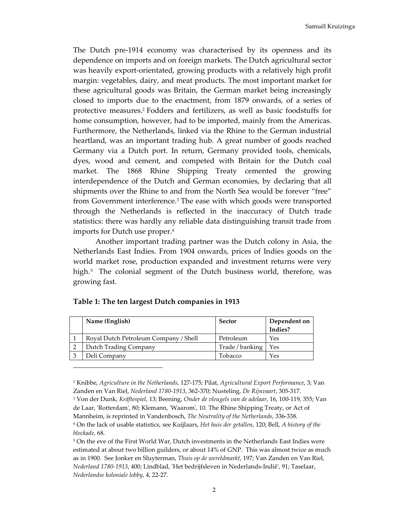The Dutch pre-1914 economy was characterised by its openness and its dependence on imports and on foreign markets. The Dutch agricultural sector was heavily export-orientated, growing products with a relatively high profit margin: vegetables, dairy, and meat products. The most important market for these agricultural goods was Britain, the German market being increasingly closed to imports due to the enactment, from 1879 onwards, of a series of protective measures.<sup>2</sup> Fodders and fertilizers, as well as basic foodstuffs for home consumption, however, had to be imported, mainly from the Americas. Furthermore, the Netherlands, linked via the Rhine to the German industrial heartland, was an important trading hub. A great number of goods reached Germany via a Dutch port. In return, Germany provided tools, chemicals, dyes, wood and cement, and competed with Britain for the Dutch coal market. The 1868 Rhine Shipping Treaty cemented the growing interdependence of the Dutch and German economies, by declaring that all shipments over the Rhine to and from the North Sea would be forever "free" from Government interference.<sup>3</sup> The ease with which goods were transported through the Netherlands is reflected in the inaccuracy of Dutch trade statistics: there was hardly any reliable data distinguishing transit trade from imports for Dutch use proper.<sup>4</sup>

 Another important trading partner was the Dutch colony in Asia, the Netherlands East Indies. From 1904 onwards, prices of Indies goods on the world market rose, production expanded and investment returns were very high.<sup>5</sup> The colonial segment of the Dutch business world, therefore, was growing fast.

| Name (English)                        | Sector          | Dependent on |
|---------------------------------------|-----------------|--------------|
|                                       |                 | Indies?      |
| Royal Dutch Petroleum Company / Shell | Petroleum       | Yes          |
| Dutch Trading Company                 | Trade / banking | Yes          |
| Deli Company                          | Tobacco         | Yes          |

#### **Table 1: The ten largest Dutch companies in 1913**

<sup>2</sup> Knibbe, *Agriculture in the Netherlands*, 127-175; Pilat, *Agricultural Export Performance*, 3; Van Zanden en Van Riel, *Nederland 1780-1913*, 362-370; Nusteling, *De Rijnvaart*, 305-317.

<sup>3</sup> Von der Dunk, *Kräftespiel*, 13; Beening, *Onder de vleugels van de adelaar*, 16, 100-119, 355; Van de Laar, 'Rotterdam', 80; Klemann, 'Waarom', 10. The Rhine Shipping Treaty, or Act of Mannheim, is reprinted in Vandenbosch, *The Neutrality of the Netherlands*, 336-338. 4 On the lack of usable statistics, see Kuijlaars, *Het huis der getallen*, 120; Bell, *A history of the blockade*, 68.

<sup>5</sup> On the eve of the First World War, Dutch investments in the Netherlands East Indies were estimated at about two billion guilders, or about 14% of GNP. This was almost twice as much as in 1900. See Jonker en Sluyterman, *Thuis op de wereldmarkt*, 197; Van Zanden en Van Riel, *Nederland 1780-1913*, 400; Lindblad, 'Het bedrijfsleven in Nederlands-Indië', 91; Taselaar, *Nederlandse koloniale lobby*, 4, 22-27.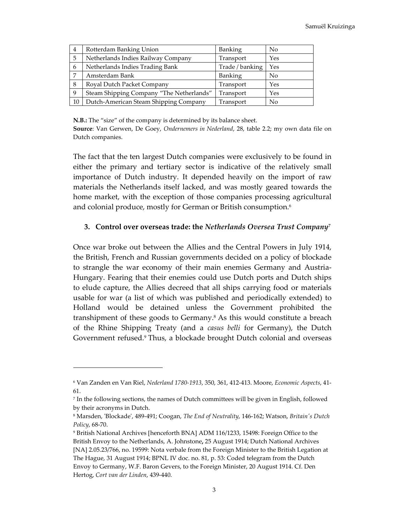| $\overline{4}$  | Rotterdam Banking Union                  | <b>Banking</b>  | No             |
|-----------------|------------------------------------------|-----------------|----------------|
| 5               | Netherlands Indies Railway Company       | Transport       | Yes            |
| 6               | Netherlands Indies Trading Bank          | Trade / banking | Yes            |
| $7\phantom{.0}$ | Amsterdam Bank                           | Banking         | No             |
| -8              | Royal Dutch Packet Company               | Transport       | Yes            |
| 9               | Steam Shipping Company "The Netherlands" | Transport       | Yes            |
| <sup>10</sup>   | Dutch-American Steam Shipping Company    | Transport       | N <sub>o</sub> |

**N.B.:** The "size" of the company is determined by its balance sheet.

**Source**: Van Gerwen, De Goey, *Ondernemers in Nederland*, 28, table 2.2; my own data file on Dutch companies.

The fact that the ten largest Dutch companies were exclusively to be found in either the primary and tertiary sector is indicative of the relatively small importance of Dutch industry. It depended heavily on the import of raw materials the Netherlands itself lacked, and was mostly geared towards the home market, with the exception of those companies processing agricultural and colonial produce, mostly for German or British consumption.<sup>6</sup>

#### **3. Control over overseas trade: the** *Netherlands Oversea Trust Company<sup>7</sup>*

Once war broke out between the Allies and the Central Powers in July 1914, the British, French and Russian governments decided on a policy of blockade to strangle the war economy of their main enemies Germany and Austria-Hungary. Fearing that their enemies could use Dutch ports and Dutch ships to elude capture, the Allies decreed that all ships carrying food or materials usable for war (a list of which was published and periodically extended) to Holland would be detained unless the Government prohibited the transhipment of these goods to Germany.<sup>8</sup> As this would constitute a breach of the Rhine Shipping Treaty (and a *casus belli* for Germany), the Dutch Government refused.<sup>9</sup> Thus, a blockade brought Dutch colonial and overseas

<sup>6</sup> Van Zanden en Van Riel, *Nederland 1780-1913*, 350, 361, 412-413. Moore, *Economic Aspects*, 41- 61.

<sup>7</sup> In the following sections, the names of Dutch committees will be given in English, followed by their acronyms in Dutch.

<sup>8</sup> Marsden, 'Blockade', 489-491; Coogan, *The End of Neutrality*, 146-162; Watson, *Britain's Dutch Policy*, 68-70.

<sup>9</sup> British National Archives [henceforth BNA] ADM 116/1233, 15498: Foreign Office to the British Envoy to the Netherlands, A. Johnstone**,** 25 August 1914; Dutch National Archives [NA] 2.05.23/766, no. 19599: Nota verbale from the Foreign Minister to the British Legation at The Hague, 31 August 1914; BPNL IV doc. no. 81, p. 53: Coded telegram from the Dutch Envoy to Germany, W.F. Baron Gevers, to the Foreign Minister, 20 August 1914. Cf. Den Hertog, *Cort van der Linden*, 439-440.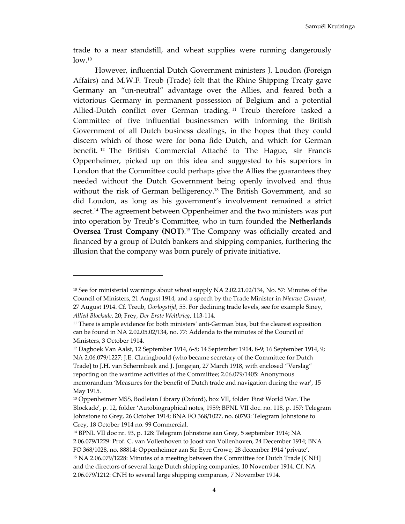trade to a near standstill, and wheat supplies were running dangerously  $\rm low.^{10}$ 

However, influential Dutch Government ministers J. Loudon (Foreign Affairs) and M.W.F. Treub (Trade) felt that the Rhine Shipping Treaty gave Germany an "un-neutral" advantage over the Allies, and feared both a victorious Germany in permanent possession of Belgium and a potential Allied-Dutch conflict over German trading.<sup>11</sup> Treub therefore tasked a Committee of five influential businessmen with informing the British Government of all Dutch business dealings, in the hopes that they could discern which of those were for bona fide Dutch, and which for German benefit. <sup>12</sup> The British Commercial Attaché to The Hague, sir Francis Oppenheimer, picked up on this idea and suggested to his superiors in London that the Committee could perhaps give the Allies the guarantees they needed without the Dutch Government being openly involved and thus without the risk of German belligerency.13 The British Government, and so did Loudon, as long as his government's involvement remained a strict secret.<sup>14</sup> The agreement between Oppenheimer and the two ministers was put into operation by Treub's Committee, who in turn founded the **Netherlands Oversea Trust Company (NOT)**.<sup>15</sup> The Company was officially created and financed by a group of Dutch bankers and shipping companies, furthering the illusion that the company was born purely of private initiative.

<sup>&</sup>lt;sup>10</sup> See for ministerial warnings about wheat supply NA 2.02.21.02/134, No. 57: Minutes of the Council of Ministers, 21 August 1914, and a speech by the Trade Minister in *Nieuwe Courant*, 27 August 1914. Cf. Treub, *Oorlogstijd*, 55. For declining trade levels, see for example Siney, *Allied Blockade*, 20; Frey, *Der Erste Weltkrieg*, 113-114.

<sup>&</sup>lt;sup>11</sup> There is ample evidence for both ministers' anti-German bias, but the clearest exposition can be found in NA 2.02.05.02/134, no. 77: Addenda to the minutes of the Council of Ministers, 3 October 1914.

<sup>12</sup> Dagboek Van Aalst, 12 September 1914, 6-8; 14 September 1914, 8-9; 16 September 1914, 9; NA 2.06.079/1227: J.E. Claringbould (who became secretary of the Committee for Dutch Trade] to J.H. van Schermbeek and J. Jongejan, 27 March 1918, with enclosed "Verslag" reporting on the wartime activities of the Committee; 2.06.079/1405: Anonymous memorandum 'Measures for the benefit of Dutch trade and navigation during the war', 15 May 1915.

<sup>13</sup> Oppenheimer MSS, Bodleian Library (Oxford), box VII, folder 'First World War. The Blockade', p. 12, folder 'Autobiographical notes, 1959; BPNL VII doc. no. 118, p. 157: Telegram Johnstone to Grey, 26 October 1914; BNA FO 368/1027, no. 60793: Telegram Johnstone to Grey, 18 October 1914 no. 99 Commercial.

<sup>14</sup> BPNL VII doc nr. 93, p. 128: Telegram Johnstone aan Grey, 5 september 1914; NA 2.06.079/1229: Prof. C. van Vollenhoven to Joost van Vollenhoven, 24 December 1914; BNA FO 368/1028, no. 88814: Oppenheimer aan Sir Eyre Crowe, 28 december 1914 'private'. <sup>15</sup> NA 2.06.079/1228: Minutes of a meeting between the Committee for Dutch Trade [CNH] and the directors of several large Dutch shipping companies, 10 November 1914. Cf. NA 2.06.079/1212: CNH to several large shipping companies, 7 November 1914.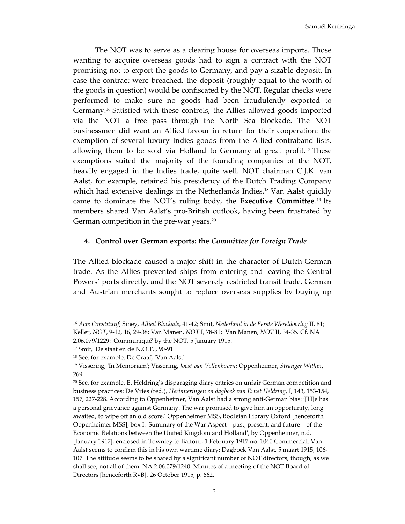The NOT was to serve as a clearing house for overseas imports. Those wanting to acquire overseas goods had to sign a contract with the NOT promising not to export the goods to Germany, and pay a sizable deposit. In case the contract were breached, the deposit (roughly equal to the worth of the goods in question) would be confiscated by the NOT. Regular checks were performed to make sure no goods had been fraudulently exported to Germany.16 Satisfied with these controls, the Allies allowed goods imported via the NOT a free pass through the North Sea blockade. The NOT businessmen did want an Allied favour in return for their cooperation: the exemption of several luxury Indies goods from the Allied contraband lists, allowing them to be sold via Holland to Germany at great profit.<sup>17</sup> These exemptions suited the majority of the founding companies of the NOT, heavily engaged in the Indies trade, quite well. NOT chairman C.J.K. van Aalst, for example, retained his presidency of the Dutch Trading Company which had extensive dealings in the Netherlands Indies.<sup>18</sup> Van Aalst quickly came to dominate the NOT's ruling body, the **Executive Committee**. <sup>19</sup> Its members shared Van Aalst's pro-British outlook, having been frustrated by German competition in the pre-war years.<sup>20</sup>

#### **4. Control over German exports: the** *Committee for Foreign Trade*

The Allied blockade caused a major shift in the character of Dutch-German trade. As the Allies prevented ships from entering and leaving the Central Powers' ports directly, and the NOT severely restricted transit trade, German and Austrian merchants sought to replace overseas supplies by buying up

<sup>16</sup> *Acte Constitutif*; Siney, *Allied Blockade*, 41-42; Smit, *Nederland in de Eerste Wereldoorlog* II, 81; Keller, *NOT*, 9-12, 16, 29-38; Van Manen, *NOT* I, 78-81; Van Manen, *NOT* II, 34-35. Cf. NA 2.06.079/1229: 'Communiqué' by the NOT, 5 January 1915.

<sup>17</sup> Smit, 'De staat en de N.O.T.', 90-91

<sup>18</sup> See, for example, De Graaf, 'Van Aalst'.

<sup>19</sup> Vissering, 'In Memoriam'; Vissering, *Joost van Vollenhoven*; Oppenheimer, *Stranger Within*, 269.

<sup>20</sup> See, for example, E. Heldring's disparaging diary entries on unfair German competition and business practices: De Vries (red.), *Herinneringen en dagboek van Ernst Heldring*, I, 143, 153-154, 157, 227-228. According to Oppenheimer, Van Aalst had a strong anti-German bias: '[H]e has a personal grievance against Germany. The war promised to give him an opportunity, long awaited, to wipe off an old score.' Oppenheimer MSS, Bodleian Library Oxford [henceforth Oppenheimer MSS], box I: 'Summary of the War Aspect – past, present, and future – of the Economic Relations between the United Kingdom and Holland', by Oppenheimer, n.d. [January 1917], enclosed in Townley to Balfour, 1 February 1917 no. 1040 Commercial. Van Aalst seems to confirm this in his own wartime diary: Dagboek Van Aalst, 5 maart 1915, 106- 107. The attitude seems to be shared by a significant number of NOT directors, though, as we shall see, not all of them: NA 2.06.079/1240: Minutes of a meeting of the NOT Board of Directors [henceforth RvB], 26 October 1915, p. 662.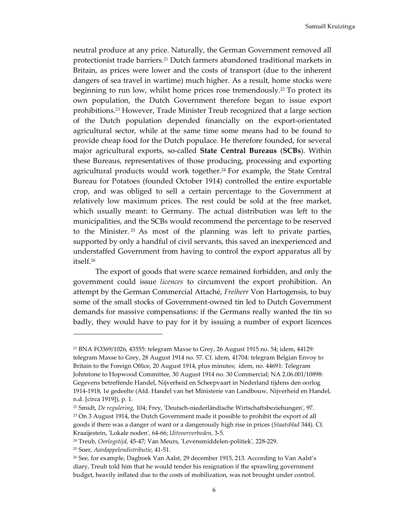neutral produce at any price. Naturally, the German Government removed all protectionist trade barriers.21 Dutch farmers abandoned traditional markets in Britain, as prices were lower and the costs of transport (due to the inherent dangers of sea travel in wartime) much higher. As a result, home stocks were beginning to run low, whilst home prices rose tremendously.<sup>22</sup> To protect its own population, the Dutch Government therefore began to issue export prohibitions.23 However, Trade Minister Treub recognized that a large section of the Dutch population depended financially on the export-orientated agricultural sector, while at the same time some means had to be found to provide cheap food for the Dutch populace. He therefore founded, for several major agricultural exports, so-called **State Central Bureaus** (**SCBs**). Within these Bureaus, representatives of those producing, processing and exporting agricultural products would work together.<sup>24</sup> For example, the State Central Bureau for Potatoes (founded October 1914) controlled the entire exportable crop, and was obliged to sell a certain percentage to the Government at relatively low maximum prices. The rest could be sold at the free market, which usually meant: to Germany. The actual distribution was left to the municipalities, and the SCBs would recommend the percentage to be reserved to the Minister.  $25$  As most of the planning was left to private parties, supported by only a handful of civil servants, this saved an inexperienced and understaffed Government from having to control the export apparatus all by itself.<sup>26</sup>

 The export of goods that were scarce remained forbidden, and only the government could issue *licences* to circumvent the export prohibition. An attempt by the German Commercial Attaché, *Freiherr* Von Hartogensis, to buy some of the small stocks of Government-owned tin led to Dutch Government demands for massive compensations: if the Germans really wanted the tin so badly, they would have to pay for it by issuing a number of export licences

l

<sup>21</sup> BNA FO369/1026, 43555: telegram Maxse to Grey, 26 August 1915 no. 54; idem, 44129: telegram Maxse to Grey, 28 August 1914 no. 57. Cf. idem, 41704: telegram Belgian Envoy to Britain to the Foreign Office, 20 August 1914, plus minutes; idem, no. 44691: Telegram Johnstone to Hopwood Committee, 30 August 1914 no. 30 Commercial; NA 2.06.001/10898: Gegevens betreffende Handel, Nijverheid en Scheepvaart in Nederland tijdens den oorlog 1914-1918, 1e gedeelte (Afd. Handel van het Ministerie van Landbouw, Nijverheid en Handel, n.d. [circa 1919]), p. 1.

<sup>22</sup> Smidt, *De regulering*, 104; Frey, 'Deutsch-niederländische Wirtschaftsbeziehungen', 97. <sup>23</sup> On 3 August 1914, the Dutch Government made it possible to prohibit the export of all goods if there was a danger of want or a dangerously high rise in prices (*Staatsblad* 344). Cf. Kraaijestein, 'Lokale noden', 64-66; *Uitvoerverboden*, 3-5.

<sup>24</sup> Treub, *Oorlogstijd*, 45-47; Van Meurs, 'Levensmiddelen-politiek', 228-229.

<sup>25</sup> Soer, *Aardappelendistributie*, 41-51.

<sup>&</sup>lt;sup>26</sup> See, for example, Dagboek Van Aalst, 29 december 1915, 213. According to Van Aalst's diary, Treub told him that he would tender his resignation if the sprawling government budget, heavily inflated due to the costs of mobilization, was not brought under control.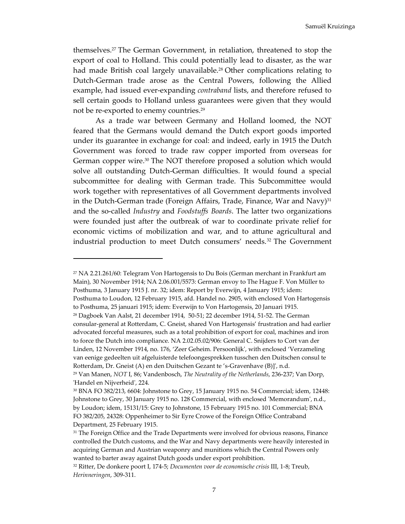Samuël Kruizinga

themselves.27 The German Government, in retaliation, threatened to stop the export of coal to Holland. This could potentially lead to disaster, as the war had made British coal largely unavailable.<sup>28</sup> Other complications relating to Dutch-German trade arose as the Central Powers, following the Allied example, had issued ever-expanding *contraband* lists, and therefore refused to sell certain goods to Holland unless guarantees were given that they would not be re-exported to enemy countries.<sup>29</sup>

As a trade war between Germany and Holland loomed, the NOT feared that the Germans would demand the Dutch export goods imported under its guarantee in exchange for coal: and indeed, early in 1915 the Dutch Government was forced to trade raw copper imported from overseas for German copper wire.<sup>30</sup> The NOT therefore proposed a solution which would solve all outstanding Dutch-German difficulties. It would found a special subcommittee for dealing with German trade. This Subcommittee would work together with representatives of all Government departments involved in the Dutch-German trade (Foreign Affairs, Trade, Finance, War and Navy) $31$ and the so-called *Industry* and *Foodstuffs Boards*. The latter two organizations were founded just after the outbreak of war to coordinate private relief for economic victims of mobilization and war, and to attune agricultural and industrial production to meet Dutch consumers' needs.32 The Government

<sup>27</sup> NA 2.21.261/60: Telegram Von Hartogensis to Du Bois (German merchant in Frankfurt am Main), 30 November 1914; NA 2.06.001/5573: German envoy to The Hague F. Von Müller to Posthuma, 3 January 1915 J. nr. 32; idem: Report by Everwijn, 4 January 1915; idem: Posthuma to Loudon, 12 February 1915, afd. Handel no. 2905, with enclosed Von Hartogensis to Posthuma, 25 januari 1915; idem: Everwijn to Von Hartogensis, 20 Januari 1915.

<sup>28</sup> Dagboek Van Aalst, 21 december 1914, 50-51; 22 december 1914, 51-52. The German consular-general at Rotterdam, C. Gneist, shared Von Hartogensis' frustration and had earlier advocated forceful measures, such as a total prohibition of export for coal, machines and iron to force the Dutch into compliance. NA 2.02.05.02/906: General C. Snijders to Cort van der Linden, 12 November 1914, no. 176, 'Zeer Geheim. Persoonlijk', with enclosed 'Verzameling van eenige gedeelten uit afgeluisterde telefoongesprekken tusschen den Duitschen consul te Rotterdam, Dr. Gneist (A) en den Duitschen Gezant te 's-Gravenhave (B)]', n.d.

<sup>29</sup> Van Manen, *NOT* I, 86; Vandenbosch, *The Neutrality of the Netherlands*, 236-237; Van Dorp, 'Handel en Nijverheid', 224.

<sup>30</sup> BNA FO 382/213, 6604: Johnstone to Grey, 15 January 1915 no. 54 Commercial; idem, 12448: Johnstone to Grey, 30 January 1915 no. 128 Commercial, with enclosed 'Memorandum', n.d., by Loudon; idem, 15131/15: Grey to Johnstone, 15 February 1915 no. 101 Commercial; BNA FO 382/205, 24328: Oppenheimer to Sir Eyre Crowe of the Foreign Office Contraband Department, 25 February 1915.

<sup>&</sup>lt;sup>31</sup> The Foreign Office and the Trade Departments were involved for obvious reasons, Finance controlled the Dutch customs, and the War and Navy departments were heavily interested in acquiring German and Austrian weaponry and munitions which the Central Powers only wanted to barter away against Dutch goods under export prohibition.

<sup>32</sup> Ritter, De donkere poort I, 174-5; *Documenten voor de economische crisis* III, 1-8; Treub, *Herinneringen*, 309-311.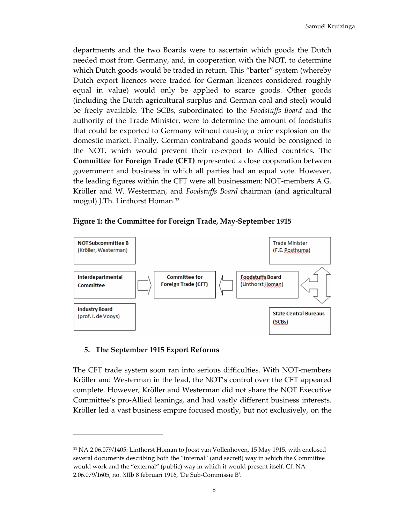departments and the two Boards were to ascertain which goods the Dutch needed most from Germany, and, in cooperation with the NOT, to determine which Dutch goods would be traded in return. This "barter" system (whereby Dutch export licences were traded for German licences considered roughly equal in value) would only be applied to scarce goods. Other goods (including the Dutch agricultural surplus and German coal and steel) would be freely available. The SCBs, subordinated to the *Foodstuffs Board* and the authority of the Trade Minister, were to determine the amount of foodstuffs that could be exported to Germany without causing a price explosion on the domestic market. Finally, German contraband goods would be consigned to the NOT, which would prevent their re-export to Allied countries. The **Committee for Foreign Trade (CFT)** represented a close cooperation between government and business in which all parties had an equal vote. However, the leading figures within the CFT were all businessmen: NOT-members A.G. Kröller and W. Westerman, and *Foodstuffs Board* chairman (and agricultural mogul) J.Th. Linthorst Homan.<sup>33</sup>

#### **Figure 1: the Committee for Foreign Trade, May-September 1915**



### **5. The September 1915 Export Reforms**

The CFT trade system soon ran into serious difficulties. With NOT-members Kröller and Westerman in the lead, the NOT's control over the CFT appeared complete. However, Kröller and Westerman did not share the NOT Executive Committee's pro-Allied leanings, and had vastly different business interests. Kröller led a vast business empire focused mostly, but not exclusively, on the

<sup>33</sup> NA 2.06.079/1405: Linthorst Homan to Joost van Vollenhoven, 15 May 1915, with enclosed several documents describing both the "internal" (and secret!) way in which the Committee would work and the "external" (public) way in which it would present itself. Cf. NA 2.06.079/1605, no. XIIb 8 februari 1916, 'De Sub-Commissie B'.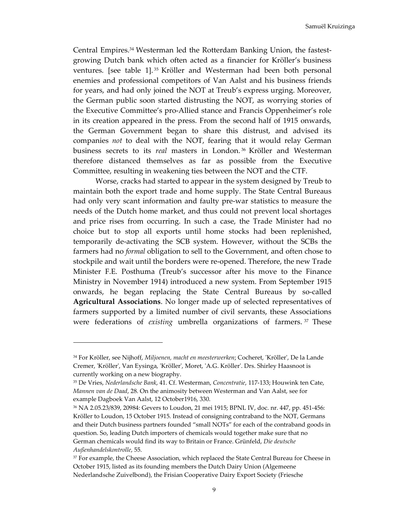Central Empires.34 Westerman led the Rotterdam Banking Union, the fastestgrowing Dutch bank which often acted as a financier for Kröller's business ventures. [see table 1]. <sup>35</sup> Kröller and Westerman had been both personal enemies and professional competitors of Van Aalst and his business friends for years, and had only joined the NOT at Treub's express urging. Moreover, the German public soon started distrusting the NOT, as worrying stories of the Executive Committee's pro-Allied stance and Francis Oppenheimer's role in its creation appeared in the press. From the second half of 1915 onwards, the German Government began to share this distrust, and advised its companies *not* to deal with the NOT, fearing that it would relay German business secrets to its *real* masters in London. <sup>36</sup> Kröller and Westerman therefore distanced themselves as far as possible from the Executive Committee, resulting in weakening ties between the NOT and the CTF.

 Worse, cracks had started to appear in the system designed by Treub to maintain both the export trade and home supply. The State Central Bureaus had only very scant information and faulty pre-war statistics to measure the needs of the Dutch home market, and thus could not prevent local shortages and price rises from occurring. In such a case, the Trade Minister had no choice but to stop all exports until home stocks had been replenished, temporarily de-activating the SCB system. However, without the SCBs the farmers had no *formal* obligation to sell to the Government, and often chose to stockpile and wait until the borders were re-opened. Therefore, the new Trade Minister F.E. Posthuma (Treub's successor after his move to the Finance Ministry in November 1914) introduced a new system. From September 1915 onwards, he began replacing the State Central Bureaus by so-called **Agricultural Associations**. No longer made up of selected representatives of farmers supported by a limited number of civil servants, these Associations were federations of *existing* umbrella organizations of farmers. <sup>37</sup> These

l

<sup>34</sup> For Kröller, see Nijhoff, *Miljoenen, macht en meesterwerken*; Cocheret, 'Kröller', De la Lande Cremer, 'Kröller', Van Eysinga, 'Kröller', Moret, 'A.G. Kröller'. Drs. Shirley Haasnoot is currently working on a new biography.

<sup>35</sup> De Vries, *Nederlandsche Bank*, 41. Cf. Westerman, *Concentratie*, 117-133; Houwink ten Cate, *Mannen van de Daad*, 28. On the animosity between Westerman and Van Aalst, see for example Dagboek Van Aalst, 12 October1916, 330.

<sup>36</sup> NA 2.05.23/839, 20984: Gevers to Loudon, 21 mei 1915; BPNL IV, doc. nr. 447, pp. 451-456: Kröller to Loudon, 15 October 1915. Instead of consigning contraband to the NOT, Germans and their Dutch business partners founded "small NOTs" for each of the contraband goods in question. So, leading Dutch importers of chemicals would together make sure that no German chemicals would find its way to Britain or France. Grünfeld, *Die deutsche Außenhandelskontrolle*, 55.

<sup>&</sup>lt;sup>37</sup> For example, the Cheese Association, which replaced the State Central Bureau for Cheese in October 1915, listed as its founding members the Dutch Dairy Union (Algemeene Nederlandsche Zuivelbond), the Frisian Cooperative Dairy Export Society (Friesche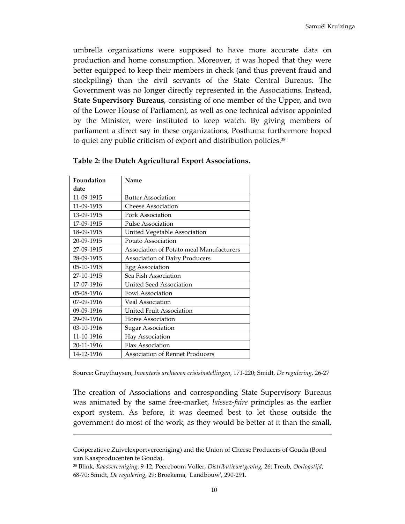umbrella organizations were supposed to have more accurate data on production and home consumption. Moreover, it was hoped that they were better equipped to keep their members in check (and thus prevent fraud and stockpiling) than the civil servants of the State Central Bureaus. The Government was no longer directly represented in the Associations. Instead, **State Supervisory Bureaus**, consisting of one member of the Upper, and two of the Lower House of Parliament, as well as one technical advisor appointed by the Minister, were instituted to keep watch. By giving members of parliament a direct say in these organizations, Posthuma furthermore hoped to quiet any public criticism of export and distribution policies.<sup>38</sup>

| Foundation | Name                                     |
|------------|------------------------------------------|
| date       |                                          |
| 11-09-1915 | <b>Butter Association</b>                |
| 11-09-1915 | <b>Cheese Association</b>                |
| 13-09-1915 | Pork Association                         |
| 17-09-1915 | <b>Pulse Association</b>                 |
| 18-09-1915 | United Vegetable Association             |
| 20-09-1915 | Potato Association                       |
| 27-09-1915 | Association of Potato meal Manufacturers |
| 28-09-1915 | <b>Association of Dairy Producers</b>    |
| 05-10-1915 | Egg Association                          |
| 27-10-1915 | Sea Fish Association                     |
| 17-07-1916 | <b>United Seed Association</b>           |
| 05-08-1916 | Fowl Association                         |
| 07-09-1916 | Veal Association                         |
| 09-09-1916 | United Fruit Association                 |
| 29-09-1916 | Horse Association                        |
| 03-10-1916 | <b>Sugar Association</b>                 |
| 11-10-1916 | Hay Association                          |
| 20-11-1916 | Flax Association                         |
| 14-12-1916 | Association of Rennet Producers          |

|  |  | Table 2: the Dutch Agricultural Export Associations. |
|--|--|------------------------------------------------------|
|  |  |                                                      |

Source: Gruythuysen, *Inventaris archieven crisisinstellingen*, 171-220; Smidt, *De regulering*, 26-27

The creation of Associations and corresponding State Supervisory Bureaus was animated by the same free-market, *laissez-faire* principles as the earlier export system. As before, it was deemed best to let those outside the government do most of the work, as they would be better at it than the small,

Coöperatieve Zuivelexportvereeniging) and the Union of Cheese Producers of Gouda (Bond van Kaasproducenten te Gouda).

<sup>38</sup> Blink, *Kaasvereeniging*, 9-12; Peereboom Voller, *Distributiewetgeving*, 26; Treub, *Oorlogstijd*, 68-70; Smidt, *De regulering*, 29; Broekema, 'Landbouw', 290-291.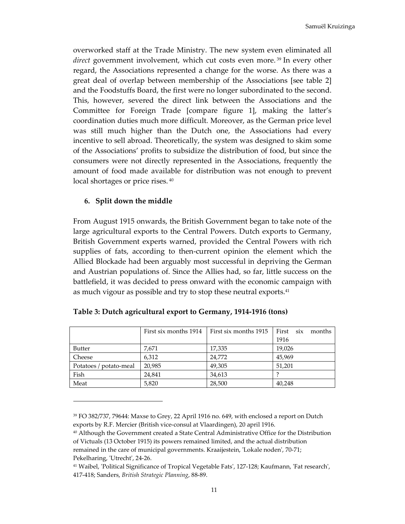overworked staff at the Trade Ministry. The new system even eliminated all *direct* government involvement, which cut costs even more. 39 In every other regard, the Associations represented a change for the worse. As there was a great deal of overlap between membership of the Associations [see table 2] and the Foodstuffs Board, the first were no longer subordinated to the second. This, however, severed the direct link between the Associations and the Committee for Foreign Trade [compare figure 1], making the latter's coordination duties much more difficult. Moreover, as the German price level was still much higher than the Dutch one, the Associations had every incentive to sell abroad. Theoretically, the system was designed to skim some of the Associations' profits to subsidize the distribution of food, but since the consumers were not directly represented in the Associations, frequently the amount of food made available for distribution was not enough to prevent local shortages or price rises. <sup>40</sup>

#### **6. Split down the middle**

From August 1915 onwards, the British Government began to take note of the large agricultural exports to the Central Powers. Dutch exports to Germany, British Government experts warned, provided the Central Powers with rich supplies of fats, according to then-current opinion the element which the Allied Blockade had been arguably most successful in depriving the German and Austrian populations of. Since the Allies had, so far, little success on the battlefield, it was decided to press onward with the economic campaign with as much vigour as possible and try to stop these neutral exports.<sup>41</sup>

|                        | First six months 1914 | First six months 1915 | First<br>six<br>months |
|------------------------|-----------------------|-----------------------|------------------------|
|                        |                       |                       | 1916                   |
| <b>Butter</b>          | 7,671                 | 17,335                | 19,026                 |
| Cheese                 | 6,312                 | 24,772                | 45,969                 |
| Potatoes / potato-meal | 20,985                | 49,305                | 51,201                 |
| Fish                   | 24.841                | 34,613                |                        |
| Meat                   | 5,820                 | 28,500                | 40,248                 |

| Table 3: Dutch agricultural export to Germany, 1914-1916 (tons) |
|-----------------------------------------------------------------|
|                                                                 |

<sup>39</sup> FO 382/737, 79644: Maxse to Grey, 22 April 1916 no. 649, with enclosed a report on Dutch exports by R.F. Mercier (British vice-consul at Vlaardingen), 20 april 1916.

<sup>40</sup> Although the Government created a State Central Administrative Office for the Distribution of Victuals (13 October 1915) its powers remained limited, and the actual distribution remained in the care of municipal governments. Kraaijestein, 'Lokale noden', 70-71; Pekelharing, 'Utrecht', 24-26.

<sup>41</sup> Waibel, 'Political Significance of Tropical Vegetable Fats', 127-128; Kaufmann, 'Fat research', 417-418; Sanders, *British Strategic Planning*, 88-89.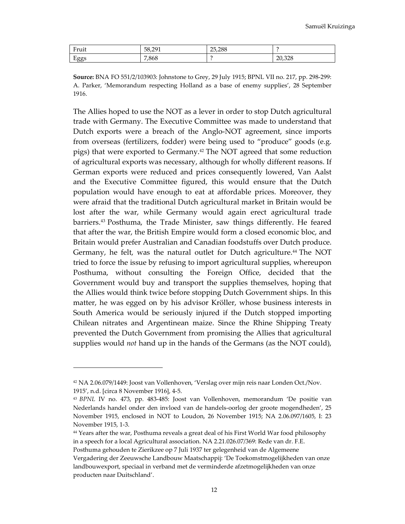| $\mathbf{r}$<br>٠.<br>Fruit | 0 <sup>1</sup><br>58<br>╰<br>JU.ZJ 1 | <b>25288</b><br>20.288 |        |
|-----------------------------|--------------------------------------|------------------------|--------|
| Ē<br>H O O C<br>-55°        | 868.'                                |                        | 20.328 |

**Source:** BNA FO 551/2/103903: Johnstone to Grey, 29 July 1915; BPNL VII no. 217, pp. 298-299: A. Parker, 'Memorandum respecting Holland as a base of enemy supplies', 28 September 1916.

The Allies hoped to use the NOT as a lever in order to stop Dutch agricultural trade with Germany. The Executive Committee was made to understand that Dutch exports were a breach of the Anglo-NOT agreement, since imports from overseas (fertilizers, fodder) were being used to "produce" goods (e.g. pigs) that were exported to Germany.42 The NOT agreed that some reduction of agricultural exports was necessary, although for wholly different reasons. If German exports were reduced and prices consequently lowered, Van Aalst and the Executive Committee figured, this would ensure that the Dutch population would have enough to eat at affordable prices. Moreover, they were afraid that the traditional Dutch agricultural market in Britain would be lost after the war, while Germany would again erect agricultural trade barriers.43 Posthuma, the Trade Minister, saw things differently. He feared that after the war, the British Empire would form a closed economic bloc, and Britain would prefer Australian and Canadian foodstuffs over Dutch produce. Germany, he felt, was the natural outlet for Dutch agriculture.44 The NOT tried to force the issue by refusing to import agricultural supplies, whereupon Posthuma, without consulting the Foreign Office, decided that the Government would buy and transport the supplies themselves, hoping that the Allies would think twice before stopping Dutch Government ships. In this matter, he was egged on by his advisor Kröller, whose business interests in South America would be seriously injured if the Dutch stopped importing Chilean nitrates and Argentinean maize. Since the Rhine Shipping Treaty prevented the Dutch Government from promising the Allies that agricultural supplies would *not* hand up in the hands of the Germans (as the NOT could),

<sup>42</sup> NA 2.06.079/1449: Joost van Vollenhoven, 'Verslag over mijn reis naar Londen Oct./Nov. 1915', n.d. [circa 8 November 1916], 4-5.

<sup>43</sup> *BPNL* IV no. 473, pp. 483-485: Joost van Vollenhoven, memorandum 'De positie van Nederlands handel onder den invloed van de handels-oorlog der groote mogendheden', 25 November 1915, enclosed in NOT to Loudon, 26 November 1915; NA 2.06.097/1605, I: 23 November 1915, 1-3.

<sup>44</sup> Years after the war, Posthuma reveals a great deal of his First World War food philosophy in a speech for a local Agricultural association. NA 2.21.026.07/369: Rede van dr. F.E. Posthuma gehouden te Zierikzee op 7 Juli 1937 ter gelegenheid van de Algemeene

Vergadering der Zeeuwsche Landbouw Maatschappij: 'De Toekomstmogelijkheden van onze landbouwexport, speciaal in verband met de verminderde afzetmogelijkheden van onze producten naar Duitschland'.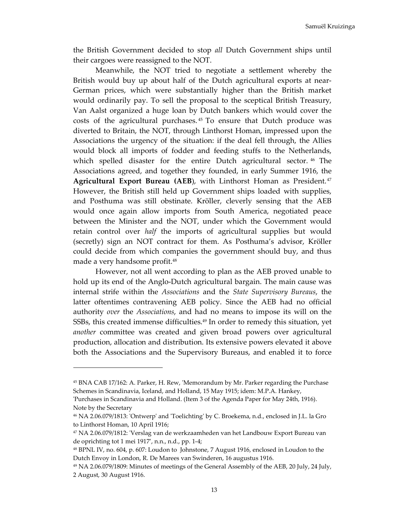the British Government decided to stop *all* Dutch Government ships until their cargoes were reassigned to the NOT.

 Meanwhile, the NOT tried to negotiate a settlement whereby the British would buy up about half of the Dutch agricultural exports at near-German prices, which were substantially higher than the British market would ordinarily pay. To sell the proposal to the sceptical British Treasury, Van Aalst organized a huge loan by Dutch bankers which would cover the costs of the agricultural purchases. <sup>45</sup> To ensure that Dutch produce was diverted to Britain, the NOT, through Linthorst Homan, impressed upon the Associations the urgency of the situation: if the deal fell through, the Allies would block all imports of fodder and feeding stuffs to the Netherlands, which spelled disaster for the entire Dutch agricultural sector.<sup>46</sup> The Associations agreed, and together they founded, in early Summer 1916, the **Agricultural Export Bureau (AEB)**, with Linthorst Homan as President.<sup>47</sup> However, the British still held up Government ships loaded with supplies, and Posthuma was still obstinate. Kröller, cleverly sensing that the AEB would once again allow imports from South America, negotiated peace between the Minister and the NOT, under which the Government would retain control over *half* the imports of agricultural supplies but would (secretly) sign an NOT contract for them. As Posthuma's advisor, Kröller could decide from which companies the government should buy, and thus made a very handsome profit.<sup>48</sup>

 However, not all went according to plan as the AEB proved unable to hold up its end of the Anglo-Dutch agricultural bargain. The main cause was internal strife within the *Associations* and the *State Supervisory Bureaus*, the latter oftentimes contravening AEB policy. Since the AEB had no official authority *over* the *Associations*, and had no means to impose its will on the SSBs, this created immense difficulties.49 In order to remedy this situation, yet *another* committee was created and given broad powers over agricultural production, allocation and distribution. Its extensive powers elevated it above both the Associations and the Supervisory Bureaus, and enabled it to force

<sup>45</sup> BNA CAB 17/162: A. Parker, H. Rew, 'Memorandum by Mr. Parker regarding the Purchase Schemes in Scandinavia, Iceland, and Holland, 15 May 1915; idem: M.P.A. Hankey,

<sup>&#</sup>x27;Purchases in Scandinavia and Holland. (Item 3 of the Agenda Paper for May 24th, 1916). Note by the Secretary

<sup>46</sup> NA 2.06.079/1813: 'Ontwerp' and 'Toelichting' by C. Broekema, n.d., enclosed in J.L. la Gro to Linthorst Homan, 10 April 1916;

<sup>47</sup> NA 2.06.079/1812: 'Verslag van de werkzaamheden van het Landbouw Export Bureau van de oprichting tot 1 mei 1917', n.n., n.d., pp. 1-4;

<sup>48</sup> BPNL IV, no. 604, p. 607: Loudon to Johnstone, 7 August 1916, enclosed in Loudon to the Dutch Envoy in London, R. De Marees van Swinderen, 16 augustus 1916.

<sup>49</sup> NA 2.06.079/1809: Minutes of meetings of the General Assembly of the AEB, 20 July, 24 July, 2 August, 30 August 1916.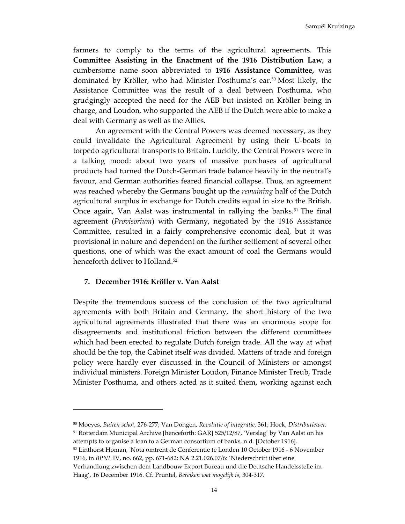Samuël Kruizinga

farmers to comply to the terms of the agricultural agreements. This **Committee Assisting in the Enactment of the 1916 Distribution Law**, a cumbersome name soon abbreviated to **1916 Assistance Committee,** was dominated by Kröller, who had Minister Posthuma's ear.50 Most likely, the Assistance Committee was the result of a deal between Posthuma, who grudgingly accepted the need for the AEB but insisted on Kröller being in charge, and Loudon, who supported the AEB if the Dutch were able to make a deal with Germany as well as the Allies.

 An agreement with the Central Powers was deemed necessary, as they could invalidate the Agricultural Agreement by using their U-boats to torpedo agricultural transports to Britain. Luckily, the Central Powers were in a talking mood: about two years of massive purchases of agricultural products had turned the Dutch-German trade balance heavily in the neutral's favour, and German authorities feared financial collapse. Thus, an agreement was reached whereby the Germans bought up the *remaining* half of the Dutch agricultural surplus in exchange for Dutch credits equal in size to the British. Once again, Van Aalst was instrumental in rallying the banks.<sup>51</sup> The final agreement (*Provisorium*) with Germany, negotiated by the 1916 Assistance Committee, resulted in a fairly comprehensive economic deal, but it was provisional in nature and dependent on the further settlement of several other questions, one of which was the exact amount of coal the Germans would henceforth deliver to Holland.<sup>52</sup>

#### **7. December 1916: Kröller v. Van Aalst**

Despite the tremendous success of the conclusion of the two agricultural agreements with both Britain and Germany, the short history of the two agricultural agreements illustrated that there was an enormous scope for disagreements and institutional friction between the different committees which had been erected to regulate Dutch foreign trade. All the way at what should be the top, the Cabinet itself was divided. Matters of trade and foreign policy were hardly ever discussed in the Council of Ministers or amongst individual ministers. Foreign Minister Loudon, Finance Minister Treub, Trade Minister Posthuma, and others acted as it suited them, working against each

<sup>50</sup> Moeyes, *Buiten schot*, 276-277; Van Dongen, *Revolutie of integratie*, 361; Hoek, *Distributiewet*. <sup>51</sup> Rotterdam Municipal Archive [henceforth: GAR] 525/12/87, 'Verslag' by Van Aalst on his

- attempts to organise a loan to a German consortium of banks, n.d. [October 1916].
- <sup>52</sup> Linthorst Homan, 'Nota omtrent de Conferentie te Londen 10 October 1916 6 November 1916, in *BPNL* IV, no. 662, pp. 671-682; NA 2.21.026.07/6: 'Niederschrift über eine

Verhandlung zwischen dem Landbouw Export Bureau und die Deutsche Handelsstelle im Haag', 16 December 1916. Cf. Pruntel, *Bereiken wat mogelijk is*, 304-317.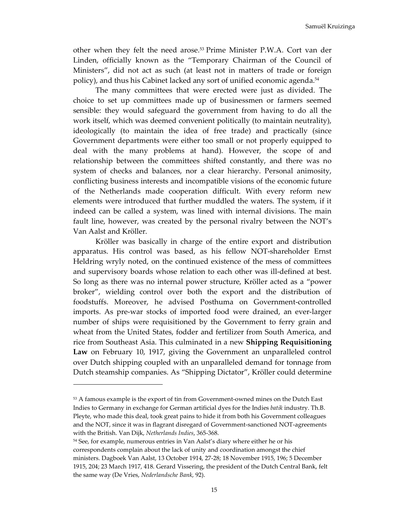other when they felt the need arose.53 Prime Minister P.W.A. Cort van der Linden, officially known as the "Temporary Chairman of the Council of Ministers", did not act as such (at least not in matters of trade or foreign policy), and thus his Cabinet lacked any sort of unified economic agenda.<sup>54</sup>

The many committees that were erected were just as divided. The choice to set up committees made up of businessmen or farmers seemed sensible: they would safeguard the government from having to do all the work itself, which was deemed convenient politically (to maintain neutrality), ideologically (to maintain the idea of free trade) and practically (since Government departments were either too small or not properly equipped to deal with the many problems at hand). However, the scope of and relationship between the committees shifted constantly, and there was no system of checks and balances, nor a clear hierarchy. Personal animosity, conflicting business interests and incompatible visions of the economic future of the Netherlands made cooperation difficult. With every reform new elements were introduced that further muddled the waters. The system, if it indeed can be called a system, was lined with internal divisions. The main fault line, however, was created by the personal rivalry between the NOT's Van Aalst and Kröller.

 Kröller was basically in charge of the entire export and distribution apparatus. His control was based, as his fellow NOT-shareholder Ernst Heldring wryly noted, on the continued existence of the mess of committees and supervisory boards whose relation to each other was ill-defined at best. So long as there was no internal power structure, Kröller acted as a "power broker", wielding control over both the export and the distribution of foodstuffs. Moreover, he advised Posthuma on Government-controlled imports. As pre-war stocks of imported food were drained, an ever-larger number of ships were requisitioned by the Government to ferry grain and wheat from the United States, fodder and fertilizer from South America, and rice from Southeast Asia. This culminated in a new **Shipping Requisitioning Law** on February 10, 1917, giving the Government an unparalleled control over Dutch shipping coupled with an unparalleled demand for tonnage from Dutch steamship companies. As "Shipping Dictator", Kröller could determine

l

<sup>53</sup> A famous example is the export of tin from Government-owned mines on the Dutch East Indies to Germany in exchange for German artificial dyes for the Indies *batik* industry. Th.B. Pleyte, who made this deal, took great pains to hide it from both his Government colleagues and the NOT, since it was in flagrant disregard of Government-sanctioned NOT-agreements with the British. Van Dijk, *Netherlands Indies*, 365-368.

<sup>&</sup>lt;sup>54</sup> See, for example, numerous entries in Van Aalst's diary where either he or his correspondents complain about the lack of unity and coordination amongst the chief ministers. Dagboek Van Aalst, 13 October 1914, 27-28; 18 November 1915, 196; 5 December 1915, 204; 23 March 1917, 418. Gerard Vissering, the president of the Dutch Central Bank, felt the same way (De Vries, *Nederlandsche Bank*, 92).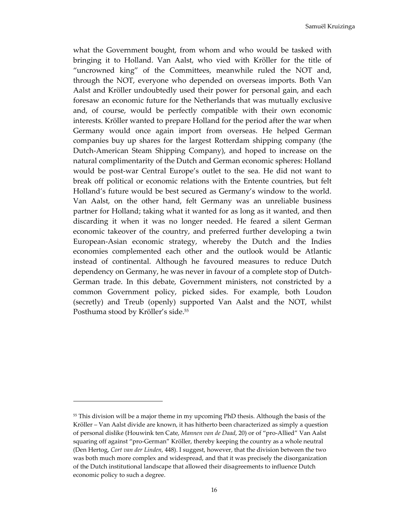Samuël Kruizinga

what the Government bought, from whom and who would be tasked with bringing it to Holland. Van Aalst, who vied with Kröller for the title of "uncrowned king" of the Committees, meanwhile ruled the NOT and, through the NOT, everyone who depended on overseas imports. Both Van Aalst and Kröller undoubtedly used their power for personal gain, and each foresaw an economic future for the Netherlands that was mutually exclusive and, of course, would be perfectly compatible with their own economic interests. Kröller wanted to prepare Holland for the period after the war when Germany would once again import from overseas. He helped German companies buy up shares for the largest Rotterdam shipping company (the Dutch-American Steam Shipping Company), and hoped to increase on the natural complimentarity of the Dutch and German economic spheres: Holland would be post-war Central Europe's outlet to the sea. He did not want to break off political or economic relations with the Entente countries, but felt Holland's future would be best secured as Germany's window to the world. Van Aalst, on the other hand, felt Germany was an unreliable business partner for Holland; taking what it wanted for as long as it wanted, and then discarding it when it was no longer needed. He feared a silent German economic takeover of the country, and preferred further developing a twin European-Asian economic strategy, whereby the Dutch and the Indies economies complemented each other and the outlook would be Atlantic instead of continental. Although he favoured measures to reduce Dutch dependency on Germany, he was never in favour of a complete stop of Dutch-German trade. In this debate, Government ministers, not constricted by a common Government policy, picked sides. For example, both Loudon (secretly) and Treub (openly) supported Van Aalst and the NOT, whilst Posthuma stood by Kröller's side.<sup>55</sup>

<sup>&</sup>lt;sup>55</sup> This division will be a major theme in my upcoming PhD thesis. Although the basis of the Kröller – Van Aalst divide are known, it has hitherto been characterized as simply a question of personal dislike (Houwink ten Cate, *Mannen van de Daad*, 20) or of "pro-Allied" Van Aalst squaring off against "pro-German" Kröller, thereby keeping the country as a whole neutral (Den Hertog, *Cort van der Linden*, 448). I suggest, however, that the division between the two was both much more complex and widespread, and that it was precisely the disorganization of the Dutch institutional landscape that allowed their disagreements to influence Dutch economic policy to such a degree.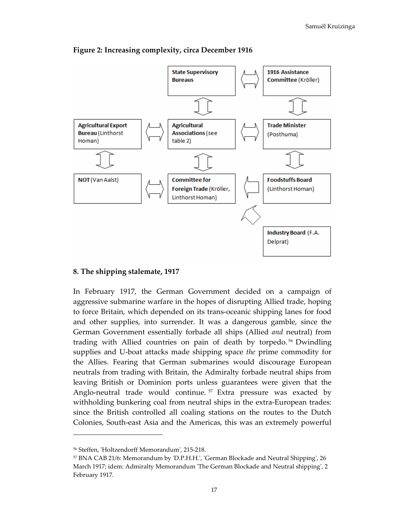

**Figure 2: Increasing complexity, circa December 1916** 

### **8. The shipping stalemate, 1917**

In February 1917, the German Government decided on a campaign of aggressive submarine warfare in the hopes of disrupting Allied trade, hoping to force Britain, which depended on its trans-oceanic shipping lanes for food and other supplies, into surrender. It was a dangerous gamble, since the German Government essentially forbade all ships (Allied *and* neutral) from trading with Allied countries on pain of death by torpedo. <sup>56</sup> Dwindling supplies and U-boat attacks made shipping space *the* prime commodity for the Allies. Fearing that German submarines would discourage European neutrals from trading with Britain, the Admiralty forbade neutral ships from leaving British or Dominion ports unless guarantees were given that the Anglo-neutral trade would continue.<sup>57</sup> Extra pressure was exacted by withholding bunkering coal from neutral ships in the extra-European trades: since the British controlled all coaling stations on the routes to the Dutch Colonies, South-east Asia and the Americas, this was an extremely powerful

<sup>56</sup> Steffen, 'Holtzendorff Memorandum', 215-218.

<sup>57</sup> BNA CAB 21/6: Memorandum by 'D.P.H.H.', 'German Blockade and Neutral Shipping', 26 March 1917; idem: Admiralty Memorandum 'The German Blockade and Neutral shipping', 2 February 1917.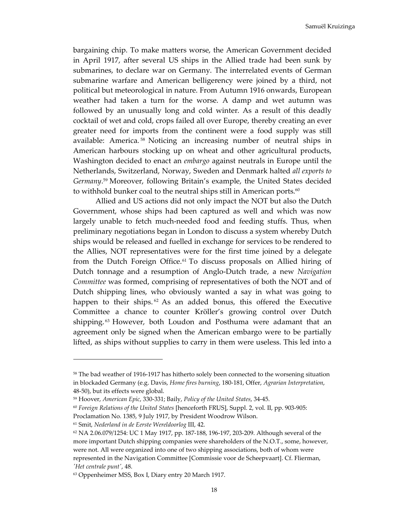bargaining chip. To make matters worse, the American Government decided in April 1917, after several US ships in the Allied trade had been sunk by submarines, to declare war on Germany. The interrelated events of German submarine warfare and American belligerency were joined by a third, not political but meteorological in nature. From Autumn 1916 onwards, European weather had taken a turn for the worse. A damp and wet autumn was followed by an unusually long and cold winter. As a result of this deadly cocktail of wet and cold, crops failed all over Europe, thereby creating an ever greater need for imports from the continent were a food supply was still available: America. <sup>58</sup> Noticing an increasing number of neutral ships in American harbours stocking up on wheat and other agricultural products, Washington decided to enact an *embargo* against neutrals in Europe until the Netherlands, Switzerland, Norway, Sweden and Denmark halted *all exports to Germany*. <sup>59</sup> Moreover, following Britain's example, the United States decided to withhold bunker coal to the neutral ships still in American ports.<sup>60</sup>

 Allied and US actions did not only impact the NOT but also the Dutch Government, whose ships had been captured as well and which was now largely unable to fetch much-needed food and feeding stuffs. Thus, when preliminary negotiations began in London to discuss a system whereby Dutch ships would be released and fuelled in exchange for services to be rendered to the Allies, NOT representatives were for the first time joined by a delegate from the Dutch Foreign Office.<sup>61</sup> To discuss proposals on Allied hiring of Dutch tonnage and a resumption of Anglo-Dutch trade, a new *Navigation Committee* was formed, comprising of representatives of both the NOT and of Dutch shipping lines, who obviously wanted a say in what was going to happen to their ships.<sup>62</sup> As an added bonus, this offered the Executive Committee a chance to counter Kröller's growing control over Dutch shipping. <sup>63</sup> However, both Loudon and Posthuma were adamant that an agreement only be signed when the American embargo were to be partially lifted, as ships without supplies to carry in them were useless. This led into a

<sup>61</sup> Smit, *Nederland in de Eerste Wereldoorlog* III, 42.

<sup>&</sup>lt;sup>58</sup> The bad weather of 1916-1917 has hitherto solely been connected to the worsening situation in blockaded Germany (e.g. Davis, *Home fires burning*, 180-181, Offer, *Agrarian Interpretation*, 48-50), but its effects were global.

<sup>59</sup> Hoover, *American Epic*, 330-331; Baily, *Policy of the United States*, 34-45.

<sup>60</sup> *Foreign Relations of the United States* [henceforth FRUS], Suppl. 2, vol. II, pp. 903-905:

Proclamation No. 1385, 9 July 1917, by President Woodrow Wilson.

<sup>62</sup> NA 2.06.079/1254: UC 1 May 1917, pp. 187-188, 196-197, 203-209. Although several of the more important Dutch shipping companies were shareholders of the N.O.T., some, however, were not. All were organized into one of two shipping associations, both of whom were represented in the Navigation Committee [Commissie voor de Scheepvaart]. Cf. Flierman, *'Het centrale punt'*, 48.

<sup>63</sup> Oppenheimer MSS, Box I, Diary entry 20 March 1917.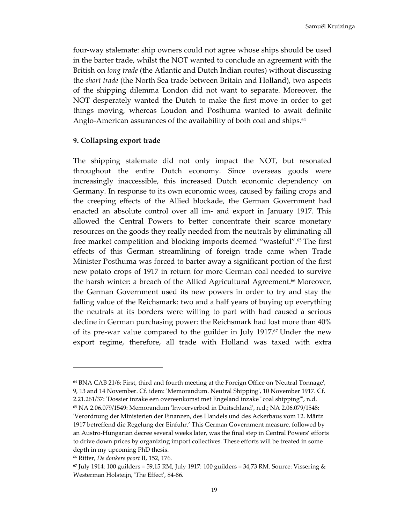four-way stalemate: ship owners could not agree whose ships should be used in the barter trade, whilst the NOT wanted to conclude an agreement with the British on *long trade* (the Atlantic and Dutch Indian routes) without discussing the *short trade* (the North Sea trade between Britain and Holland), two aspects of the shipping dilemma London did not want to separate. Moreover, the NOT desperately wanted the Dutch to make the first move in order to get things moving, whereas Loudon and Posthuma wanted to await definite Anglo-American assurances of the availability of both coal and ships.<sup>64</sup>

#### **9. Collapsing export trade**

The shipping stalemate did not only impact the NOT, but resonated throughout the entire Dutch economy. Since overseas goods were increasingly inaccessible, this increased Dutch economic dependency on Germany. In response to its own economic woes, caused by failing crops and the creeping effects of the Allied blockade, the German Government had enacted an absolute control over all im- and export in January 1917. This allowed the Central Powers to better concentrate their scarce monetary resources on the goods they really needed from the neutrals by eliminating all free market competition and blocking imports deemed "wasteful".<sup>65</sup> The first effects of this German streamlining of foreign trade came when Trade Minister Posthuma was forced to barter away a significant portion of the first new potato crops of 1917 in return for more German coal needed to survive the harsh winter: a breach of the Allied Agricultural Agreement.66 Moreover, the German Government used its new powers in order to try and stay the falling value of the Reichsmark: two and a half years of buying up everything the neutrals at its borders were willing to part with had caused a serious decline in German purchasing power: the Reichsmark had lost more than 40% of its pre-war value compared to the guilder in July 1917.67 Under the new export regime, therefore, all trade with Holland was taxed with extra

<sup>64</sup> BNA CAB 21/6: First, third and fourth meeting at the Foreign Office on 'Neutral Tonnage', 9, 13 and 14 November. Cf. idem: 'Memorandum. Neutral Shipping', 10 November 1917. Cf. 2.21.261/37: 'Dossier inzake een overeenkomst met Engeland inzake "coal shipping"', n.d.

<sup>65</sup> NA 2.06.079/1549: Memorandum 'Invoerverbod in Duitschland', n.d.; NA 2.06.079/1548: 'Verordnung der Ministerien der Finanzen, des Handels und des Ackerbaus vom 12. Märtz 1917 betreffend die Regelung der Einfuhr.' This German Government measure, followed by an Austro-Hungarian decree several weeks later, was the final step in Central Powers' efforts to drive down prices by organizing import collectives. These efforts will be treated in some depth in my upcoming PhD thesis.

<sup>66</sup> Ritter, *De donkere poort* II, 152, 176.

 $67$  July 1914: 100 guilders = 59,15 RM, July 1917: 100 guilders = 34,73 RM. Source: Vissering & Westerman Holsteijn, 'The Effect', 84-86.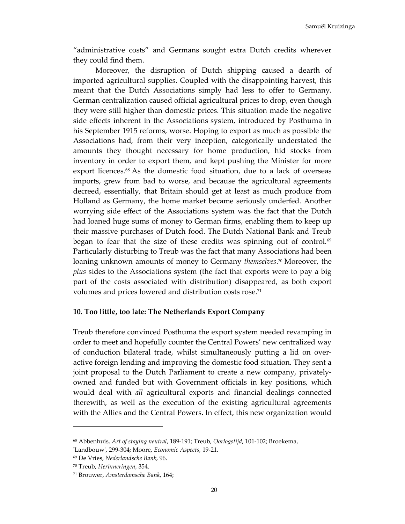"administrative costs" and Germans sought extra Dutch credits wherever they could find them.

 Moreover, the disruption of Dutch shipping caused a dearth of imported agricultural supplies. Coupled with the disappointing harvest, this meant that the Dutch Associations simply had less to offer to Germany. German centralization caused official agricultural prices to drop, even though they were still higher than domestic prices. This situation made the negative side effects inherent in the Associations system, introduced by Posthuma in his September 1915 reforms, worse. Hoping to export as much as possible the Associations had, from their very inception, categorically understated the amounts they thought necessary for home production, hid stocks from inventory in order to export them, and kept pushing the Minister for more export licences.<sup>68</sup> As the domestic food situation, due to a lack of overseas imports, grew from bad to worse, and because the agricultural agreements decreed, essentially, that Britain should get at least as much produce from Holland as Germany, the home market became seriously underfed. Another worrying side effect of the Associations system was the fact that the Dutch had loaned huge sums of money to German firms, enabling them to keep up their massive purchases of Dutch food. The Dutch National Bank and Treub began to fear that the size of these credits was spinning out of control.<sup>69</sup> Particularly disturbing to Treub was the fact that many Associations had been loaning unknown amounts of money to Germany *themselves*. <sup>70</sup> Moreover, the *plus* sides to the Associations system (the fact that exports were to pay a big part of the costs associated with distribution) disappeared, as both export volumes and prices lowered and distribution costs rose.<sup>71</sup>

#### **10. Too little, too late: The Netherlands Export Company**

Treub therefore convinced Posthuma the export system needed revamping in order to meet and hopefully counter the Central Powers' new centralized way of conduction bilateral trade, whilst simultaneously putting a lid on overactive foreign lending and improving the domestic food situation. They sent a joint proposal to the Dutch Parliament to create a new company, privatelyowned and funded but with Government officials in key positions, which would deal with *all* agricultural exports and financial dealings connected therewith, as well as the execution of the existing agricultural agreements with the Allies and the Central Powers. In effect, this new organization would

l

<sup>68</sup> Abbenhuis, *Art of staying neutral*, 189-191; Treub, *Oorlogstijd*, 101-102; Broekema,

<sup>&#</sup>x27;Landbouw', 299-304; Moore, *Economic Aspects*, 19-21.

<sup>69</sup> De Vries, *Nederlandsche Bank*, 96.

<sup>70</sup> Treub, *Herinneringen*, 354.

<sup>71</sup> Brouwer, *Amsterdamsche Bank*, 164;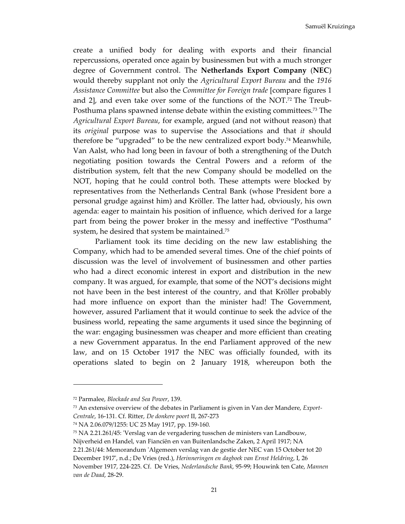Samuël Kruizinga

create a unified body for dealing with exports and their financial repercussions, operated once again by businessmen but with a much stronger degree of Government control. The **Netherlands Export Company** (**NEC**) would thereby supplant not only the *Agricultural Export Bureau* and the *1916 Assistance Committee* but also the *Committee for Foreign trade* [compare figures 1 and 2], and even take over some of the functions of the NOT.<sup>72</sup> The Treub-Posthuma plans spawned intense debate within the existing committees.73 The *Agricultural Export Bureau*, for example, argued (and not without reason) that its *original* purpose was to supervise the Associations and that *it* should therefore be "upgraded" to be the new centralized export body.74 Meanwhile, Van Aalst, who had long been in favour of both a strengthening of the Dutch negotiating position towards the Central Powers and a reform of the distribution system, felt that the new Company should be modelled on the NOT, hoping that he could control both. These attempts were blocked by representatives from the Netherlands Central Bank (whose President bore a personal grudge against him) and Kröller. The latter had, obviously, his own agenda: eager to maintain his position of influence, which derived for a large part from being the power broker in the messy and ineffective "Posthuma" system, he desired that system be maintained.<sup>75</sup>

Parliament took its time deciding on the new law establishing the Company, which had to be amended several times. One of the chief points of discussion was the level of involvement of businessmen and other parties who had a direct economic interest in export and distribution in the new company. It was argued, for example, that some of the NOT's decisions might not have been in the best interest of the country, and that Kröller probably had more influence on export than the minister had! The Government, however, assured Parliament that it would continue to seek the advice of the business world, repeating the same arguments it used since the beginning of the war: engaging businessmen was cheaper and more efficient than creating a new Government apparatus. In the end Parliament approved of the new law, and on 15 October 1917 the NEC was officially founded, with its operations slated to begin on 2 January 1918, whereupon both the

l

<sup>72</sup> Parmalee, *Blockade and Sea Power*, 139.

<sup>73</sup> An extensive overview of the debates in Parliament is given in Van der Mandere, *Export-Centrale*, 16-131. Cf. Ritter, *De donkere poort* II, 267-273

<sup>74</sup> NA 2.06.079/1255: UC 25 May 1917, pp. 159-160.

<sup>75</sup> NA 2.21.261/45: 'Verslag van de vergadering tusschen de ministers van Landbouw,

Nijverheid en Handel, van Fianciën en van Buitenlandsche Zaken, 2 April 1917; NA

<sup>2.21.261/44:</sup> Memorandum 'Algemeen verslag van de gestie der NEC van 15 October tot 20

December 1917', n.d.; De Vries (red.), *Herinneringen en dagboek van Ernst Heldring*, I, 26 November 1917, 224-225. Cf. De Vries, *Nederlandsche Bank*, 95-99; Houwink ten Cate, *Mannen van de Daad*, 28-29.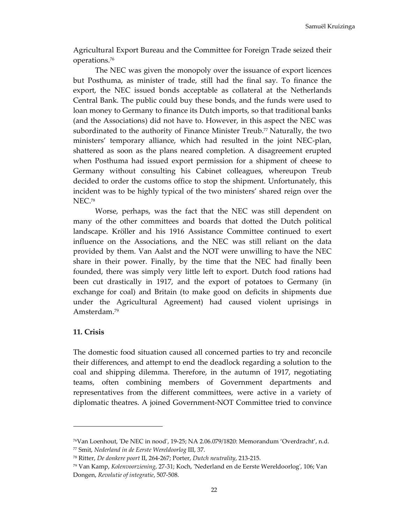Agricultural Export Bureau and the Committee for Foreign Trade seized their operations.<sup>76</sup>

The NEC was given the monopoly over the issuance of export licences but Posthuma, as minister of trade, still had the final say. To finance the export, the NEC issued bonds acceptable as collateral at the Netherlands Central Bank. The public could buy these bonds, and the funds were used to loan money to Germany to finance its Dutch imports, so that traditional banks (and the Associations) did not have to. However, in this aspect the NEC was subordinated to the authority of Finance Minister Treub.<sup>77</sup> Naturally, the two ministers' temporary alliance, which had resulted in the joint NEC-plan, shattered as soon as the plans neared completion. A disagreement erupted when Posthuma had issued export permission for a shipment of cheese to Germany without consulting his Cabinet colleagues, whereupon Treub decided to order the customs office to stop the shipment. Unfortunately, this incident was to be highly typical of the two ministers' shared reign over the NEC.<sup>78</sup>

Worse, perhaps, was the fact that the NEC was still dependent on many of the other committees and boards that dotted the Dutch political landscape. Kröller and his 1916 Assistance Committee continued to exert influence on the Associations, and the NEC was still reliant on the data provided by them. Van Aalst and the NOT were unwilling to have the NEC share in their power. Finally, by the time that the NEC had finally been founded, there was simply very little left to export. Dutch food rations had been cut drastically in 1917, and the export of potatoes to Germany (in exchange for coal) and Britain (to make good on deficits in shipments due under the Agricultural Agreement) had caused violent uprisings in Amsterdam.<sup>79</sup>

### **11. Crisis**

l

The domestic food situation caused all concerned parties to try and reconcile their differences, and attempt to end the deadlock regarding a solution to the coal and shipping dilemma. Therefore, in the autumn of 1917, negotiating teams, often combining members of Government departments and representatives from the different committees, were active in a variety of diplomatic theatres. A joined Government-NOT Committee tried to convince

<sup>76</sup>Van Loenhout, 'De NEC in nood', 19-25; NA 2.06.079/1820: Memorandum 'Overdracht', n.d. <sup>77</sup> Smit, *Nederland in de Eerste Wereldoorlog* III, 37.

<sup>78</sup> Ritter, *De donkere poort* II, 264-267; Porter, *Dutch neutrality*, 213-215.

<sup>79</sup> Van Kamp, *Kolenvoorziening*, 27-31; Koch, 'Nederland en de Eerste Wereldoorlog', 106; Van Dongen, *Revolutie of integratie*, 507-508.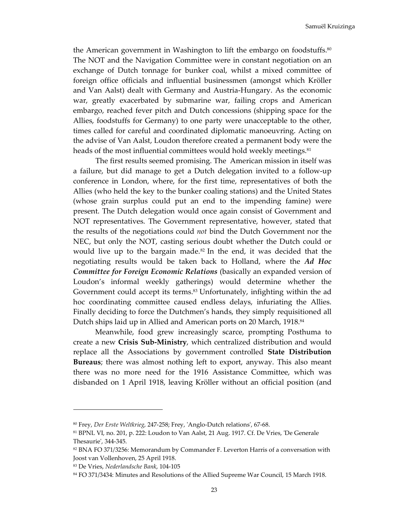the American government in Washington to lift the embargo on foodstuffs.<sup>80</sup> The NOT and the Navigation Committee were in constant negotiation on an exchange of Dutch tonnage for bunker coal, whilst a mixed committee of foreign office officials and influential businessmen (amongst which Kröller and Van Aalst) dealt with Germany and Austria-Hungary. As the economic war, greatly exacerbated by submarine war, failing crops and American embargo, reached fever pitch and Dutch concessions (shipping space for the Allies, foodstuffs for Germany) to one party were unacceptable to the other, times called for careful and coordinated diplomatic manoeuvring. Acting on the advise of Van Aalst, Loudon therefore created a permanent body were the heads of the most influential committees would hold weekly meetings.<sup>81</sup>

 The first results seemed promising. The American mission in itself was a failure, but did manage to get a Dutch delegation invited to a follow-up conference in London, where, for the first time, representatives of both the Allies (who held the key to the bunker coaling stations) and the United States (whose grain surplus could put an end to the impending famine) were present. The Dutch delegation would once again consist of Government and NOT representatives. The Government representative, however, stated that the results of the negotiations could *not* bind the Dutch Government nor the NEC, but only the NOT, casting serious doubt whether the Dutch could or would live up to the bargain made.<sup>82</sup> In the end, it was decided that the negotiating results would be taken back to Holland, where the *Ad Hoc Committee for Foreign Economic Relations* (basically an expanded version of Loudon's informal weekly gatherings) would determine whether the Government could accept its terms. $83$  Unfortunately, infighting within the ad hoc coordinating committee caused endless delays, infuriating the Allies. Finally deciding to force the Dutchmen's hands, they simply requisitioned all Dutch ships laid up in Allied and American ports on 20 March, 1918.<sup>84</sup>

Meanwhile, food grew increasingly scarce, prompting Posthuma to create a new **Crisis Sub-Ministry**, which centralized distribution and would replace all the Associations by government controlled **State Distribution Bureaus**; there was almost nothing left to export, anyway. This also meant there was no more need for the 1916 Assistance Committee, which was disbanded on 1 April 1918, leaving Kröller without an official position (and

<sup>80</sup> Frey, *Der Erste Weltkrieg*, 247-258; Frey, 'Anglo-Dutch relations', 67-68.

<sup>81</sup> BPNL VI, no. 201, p. 222: Loudon to Van Aalst, 21 Aug. 1917. Cf. De Vries, 'De Generale Thesaurie', 344-345.

<sup>82</sup> BNA FO 371/3256: Memorandum by Commander F. Leverton Harris of a conversation with Joost van Vollenhoven, 25 April 1918.

<sup>83</sup> De Vries, *Nederlandsche Bank*, 104-105

<sup>84</sup> FO 371/3434: Minutes and Resolutions of the Allied Supreme War Council, 15 March 1918.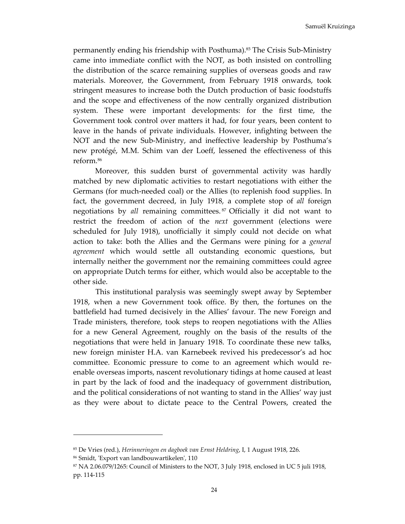permanently ending his friendship with Posthuma).85 The Crisis Sub-Ministry came into immediate conflict with the NOT, as both insisted on controlling the distribution of the scarce remaining supplies of overseas goods and raw materials. Moreover, the Government, from February 1918 onwards, took stringent measures to increase both the Dutch production of basic foodstuffs and the scope and effectiveness of the now centrally organized distribution system. These were important developments: for the first time, the Government took control over matters it had, for four years, been content to leave in the hands of private individuals. However, infighting between the NOT and the new Sub-Ministry, and ineffective leadership by Posthuma's new protégé, M.M. Schim van der Loeff, lessened the effectiveness of this reform.<sup>86</sup>

Moreover, this sudden burst of governmental activity was hardly matched by new diplomatic activities to restart negotiations with either the Germans (for much-needed coal) or the Allies (to replenish food supplies. In fact, the government decreed, in July 1918, a complete stop of *all* foreign negotiations by *all* remaining committees. <sup>87</sup> Officially it did not want to restrict the freedom of action of the *next* government (elections were scheduled for July 1918), unofficially it simply could not decide on what action to take: both the Allies and the Germans were pining for a *general agreement* which would settle all outstanding economic questions, but internally neither the government nor the remaining committees could agree on appropriate Dutch terms for either, which would also be acceptable to the other side.

 This institutional paralysis was seemingly swept away by September 1918, when a new Government took office. By then, the fortunes on the battlefield had turned decisively in the Allies' favour. The new Foreign and Trade ministers, therefore, took steps to reopen negotiations with the Allies for a new General Agreement, roughly on the basis of the results of the negotiations that were held in January 1918. To coordinate these new talks, new foreign minister H.A. van Karnebeek revived his predecessor's ad hoc committee. Economic pressure to come to an agreement which would reenable overseas imports, nascent revolutionary tidings at home caused at least in part by the lack of food and the inadequacy of government distribution, and the political considerations of not wanting to stand in the Allies' way just as they were about to dictate peace to the Central Powers, created the

<sup>85</sup> De Vries (red.), *Herinneringen en dagboek van Ernst Heldring*, I, 1 August 1918, 226.

<sup>86</sup> Smidt, 'Export van landbouwartikelen', 110

<sup>87</sup> NA 2.06.079/1265: Council of Ministers to the NOT, 3 July 1918, enclosed in UC 5 juli 1918, pp. 114-115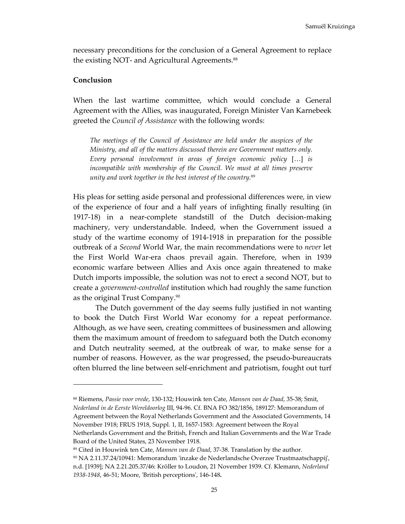necessary preconditions for the conclusion of a General Agreement to replace the existing NOT- and Agricultural Agreements.<sup>88</sup>

#### **Conclusion**

l

When the last wartime committee, which would conclude a General Agreement with the Allies, was inaugurated, Foreign Minister Van Karnebeek greeted the *Council of Assistance* with the following words:

*The meetings of the Council of Assistance are held under the auspices of the Ministry, and all of the matters discussed therein are Government matters only. Every personal involvement in areas of foreign economic policy* […] *is incompatible with membership of the Council. We must at all times preserve unity and work together in the best interest of the country.*<sup>89</sup>

His pleas for setting aside personal and professional differences were, in view of the experience of four and a half years of infighting finally resulting (in 1917-18) in a near-complete standstill of the Dutch decision-making machinery, very understandable. Indeed, when the Government issued a study of the wartime economy of 1914-1918 in preparation for the possible outbreak of a *Second* World War, the main recommendations were to *never* let the First World War-era chaos prevail again. Therefore, when in 1939 economic warfare between Allies and Axis once again threatened to make Dutch imports impossible, the solution was not to erect a second NOT, but to create a *government-controlled* institution which had roughly the same function as the original Trust Company.<sup>90</sup>

 The Dutch government of the day seems fully justified in not wanting to book the Dutch First World War economy for a repeat performance. Although, as we have seen, creating committees of businessmen and allowing them the maximum amount of freedom to safeguard both the Dutch economy and Dutch neutrality seemed, at the outbreak of war, to make sense for a number of reasons. However, as the war progressed, the pseudo-bureaucrats often blurred the line between self-enrichment and patriotism, fought out turf

<sup>88</sup> Riemens, *Passie voor vrede*, 130-132; Houwink ten Cate, *Mannen van de Daad*, 35-38; Smit, *Nederland in de Eerste Wereldoorlog* III, 94-96. Cf. BNA FO 382/1856, 189127: Memorandum of Agreement between the Royal Netherlands Government and the Associated Governments, 14

November 1918; FRUS 1918, Suppl. 1, II, 1657-1583: Agreement between the Royal

Netherlands Government and the British, French and Italian Governments and the War Trade Board of the United States, 23 November 1918.

<sup>89</sup> Cited in Houwink ten Cate, *Mannen van de Daad*, 37-38. Translation by the author.

<sup>90</sup> NA 2.11.37.24/10941: Memorandum 'inzake de Nederlandsche Overzee Trustmaatschappij', n.d. [1939]; NA 2.21.205.37/46: Kröller to Loudon, 21 November 1939. Cf. Klemann, *Nederland 1938-1948*, 46-51; Moore, 'British perceptions', 146-148**.**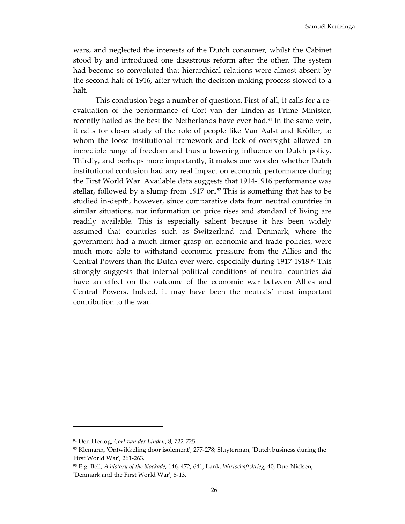wars, and neglected the interests of the Dutch consumer, whilst the Cabinet stood by and introduced one disastrous reform after the other. The system had become so convoluted that hierarchical relations were almost absent by the second half of 1916, after which the decision-making process slowed to a halt.

 This conclusion begs a number of questions. First of all, it calls for a reevaluation of the performance of Cort van der Linden as Prime Minister, recently hailed as the best the Netherlands have ever had.<sup>91</sup> In the same vein, it calls for closer study of the role of people like Van Aalst and Kröller, to whom the loose institutional framework and lack of oversight allowed an incredible range of freedom and thus a towering influence on Dutch policy. Thirdly, and perhaps more importantly, it makes one wonder whether Dutch institutional confusion had any real impact on economic performance during the First World War. Available data suggests that 1914-1916 performance was stellar, followed by a slump from 1917 on.<sup>92</sup> This is something that has to be studied in-depth, however, since comparative data from neutral countries in similar situations, nor information on price rises and standard of living are readily available. This is especially salient because it has been widely assumed that countries such as Switzerland and Denmark, where the government had a much firmer grasp on economic and trade policies, were much more able to withstand economic pressure from the Allies and the Central Powers than the Dutch ever were, especially during 1917-1918.<sup>93</sup> This strongly suggests that internal political conditions of neutral countries *did* have an effect on the outcome of the economic war between Allies and Central Powers. Indeed, it may have been the neutrals' most important contribution to the war.

l

<sup>91</sup> Den Hertog, *Cort van der Linden*, 8, 722-725.

 $92$  Klemann, 'Ontwikkeling door isolement', 277-278; Sluyterman, 'Dutch business during the First World War', 261-263.

<sup>93</sup> E.g. Bell, *A history of the blockade*, 146, 472, 641; Lank, *Wirtschaftskrieg*, 40; Due-Nielsen, 'Denmark and the First World War', 8-13.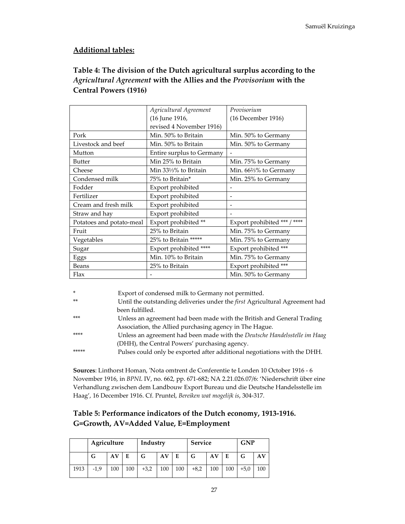## **Additional tables:**

# **Table 4: The division of the Dutch agricultural surplus according to the**  *Agricultural Agreement* **with the Allies and the** *Provisorium* **with the Central Powers (1916)**

|                          | Agricultural Agreement    | Provisorium                  |
|--------------------------|---------------------------|------------------------------|
|                          | (16 June 1916,            | (16 December 1916)           |
|                          | revised 4 November 1916)  |                              |
| Pork                     | Min. 50% to Britain       | Min. 50% to Germany          |
| Livestock and beef       | Min. 50% to Britain       | Min. 50% to Germany          |
| Mutton                   | Entire surplus to Germany |                              |
| <b>Butter</b>            | Min 25% to Britain        | Min. 75% to Germany          |
| Cheese                   | Min 331/3% to Britain     | Min. 66%% to Germany         |
| Condensed milk           | 75% to Britain*           | Min. 25% to Germany          |
| Fodder                   | Export prohibited         |                              |
| Fertilizer               | Export prohibited         |                              |
| Cream and fresh milk     | Export prohibited         |                              |
| Straw and hay            | Export prohibited         |                              |
| Potatoes and potato-meal | Export prohibited **      | Export prohibited *** / **** |
| Fruit                    | 25% to Britain            | Min. 75% to Germany          |
| Vegetables               | 25% to Britain *****      | Min. 75% to Germany          |
| Sugar                    | Export prohibited ****    | Export prohibited ***        |
| Eggs                     | Min. 10% to Britain       | Min. 75% to Germany          |
| Beans                    | 25% to Britain            | Export prohibited ***        |
| Flax                     |                           | Min. 50% to Germany          |

| $\ast$ | Export of condensed milk to Germany not permitted.                          |
|--------|-----------------------------------------------------------------------------|
| $**$   | Until the outstanding deliveries under the first Agricultural Agreement had |
|        | been fulfilled.                                                             |
| $***$  | Unless an agreement had been made with the British and General Trading      |
|        | Association, the Allied purchasing agency in The Hague.                     |
| ****   | Unless an agreement had been made with the Deutsche Handelsstelle im Haag   |
|        | (DHH), the Central Powers' purchasing agency.                               |
| *****  | Pulses could only be exported after additional negotiations with the DHH.   |
|        |                                                                             |

**Sources**: Linthorst Homan, 'Nota omtrent de Conferentie te Londen 10 October 1916 - 6 November 1916, in *BPNL* IV, no. 662, pp. 671-682; NA 2.21.026.07/6: 'Niederschrift über eine Verhandlung zwischen dem Landbouw Export Bureau und die Deutsche Handelsstelle im Haag', 16 December 1916. Cf. Pruntel, *Bereiken wat mogelijk is*, 304-317.

# **Table 5: Performance indicators of the Dutch economy, 1913-1916. G=Growth, AV=Added Value, E=Employment**

|      | Agriculture |     |     | Industry |     | <b>Service</b> |        |     | <b>GNP</b> |        |     |
|------|-------------|-----|-----|----------|-----|----------------|--------|-----|------------|--------|-----|
|      | G           | AV  |     | G        | AV  | Е              | G      | AV  |            |        | AV  |
| 1913 | $-1,9$      | 100 | 100 | $+3,2$   | 100 | 100            | $+8,2$ | 100 | 100        | $+5.0$ | 100 |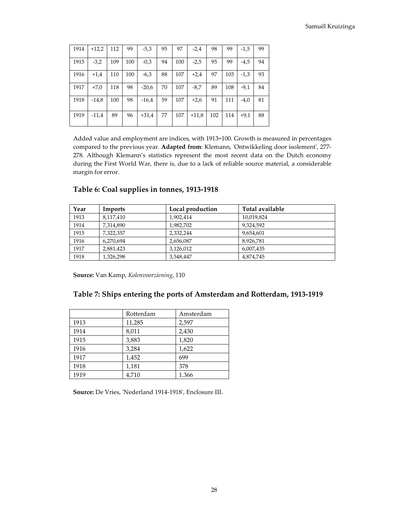| 1914 | $+12,2$ | 112 | 99  | $-5,3$  | 95 | 97  | $-2,4$  | 98  | 99  | $-1,5$ | 99 |
|------|---------|-----|-----|---------|----|-----|---------|-----|-----|--------|----|
| 1915 | $-3,2$  | 109 | 100 | $-0,3$  | 94 | 100 | $-2,5$  | 95  | 99  | $-4,5$ | 94 |
| 1916 | $+1,4$  | 110 | 100 | $-6,3$  | 88 | 107 | $+2,4$  | 97  | 103 | $-1,3$ | 93 |
| 1917 | $+7,0$  | 118 | 98  | $-20,6$ | 70 | 107 | $-8,7$  | 89  | 108 | $-9,1$ | 84 |
| 1918 | $-14,8$ | 100 | 98  | $-16,4$ | 59 | 107 | $+2,6$  | 91  | 111 | $-4,0$ | 81 |
| 1919 | $-11.4$ | 89  | 96  | $+31,4$ | 77 | 107 | $+11,8$ | 102 | 114 | $+9.1$ | 88 |

Added value and employment are indices, with 1913=100. Growth is measured in percentages compared to the previous year. **Adapted from**: Klemann, 'Ontwikkeling door isolement', 277- 278. Although Klemann's statistics represent the most recent data on the Dutch economy during the First World War, there is, due to a lack of reliable source material, a considerable margin for error.

| Year | Imports   | Local production | Total available |
|------|-----------|------------------|-----------------|
| 1913 | 8,117,410 | 1,902,414        | 10,019,824      |
| 1914 | 7,314,890 | 1,982,702        | 9,324,592       |
| 1915 | 7,322,357 | 2,332,244        | 9,654,601       |
| 1916 | 6,270,694 | 2,656,087        | 8,926,781       |
| 1917 | 2,881,423 | 3.126.012        | 6,007,435       |
| 1918 | 1,326,298 | 3,548,447        | 4,874,745       |

#### **Table 6: Coal supplies in tonnes, 1913-1918**

**Source:** Van Kamp, *Kolenvoorziening*, 110

|  | Table 7: Ships entering the ports of Amsterdam and Rotterdam, 1913-1919 |
|--|-------------------------------------------------------------------------|
|--|-------------------------------------------------------------------------|

|      | Rotterdam | Amsterdam |
|------|-----------|-----------|
| 1913 | 11,285    | 2,597     |
| 1914 | 8,011     | 2,430     |
| 1915 | 3,883     | 1,820     |
| 1916 | 3,284     | 1,622     |
| 1917 | 1,452     | 699       |
| 1918 | 1,181     | 378       |
| 1919 | 4,710     | 1.366     |

**Source:** De Vries, 'Nederland 1914-1918', Enclosure III.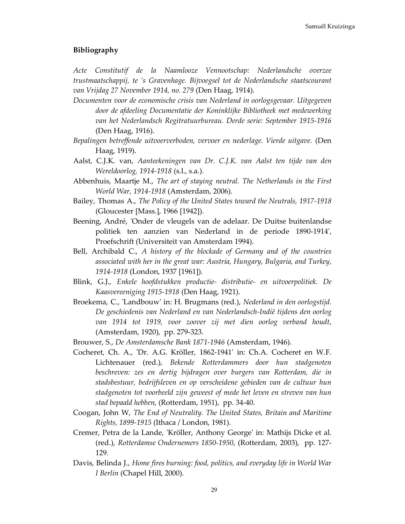#### **Bibliography**

*Acte Constitutif de la Naamlooze Vennootschap: Nederlandsche overzee trustmaatschappij, te 's Gravenhage. Bijvoegsel tot de Nederlandsche staatscourant van Vrijdag 27 November 1914, no. 279* (Den Haag, 1914).

- *Documenten voor de economische crisis van Nederland in oorlogsgevaar. Uitgegeven door de afdeeling Documentatie der Koninklijke Bibliotheek met medewerking van het Nederlandsch Regitratuurbureau. Derde serie: September 1915-1916* (Den Haag, 1916).
- *Bepalingen betreffende uitvoerverboden, vervoer en nederlage. Vierde uitgave.* (Den Haag, 1919).
- Aalst, C.J.K. van, *Aanteekeningen van Dr. C.J.K. van Aalst ten tijde van den Wereldoorlog, 1914-1918* (s.l., s.a.).
- Abbenhuis, Maartje M., *The art of staying neutral. The Netherlands in the First World War, 1914-1918* (Amsterdam, 2006).
- Bailey, Thomas A., *The Policy of the United States toward the Neutrals, 1917-1918* (Gloucester [Mass.], 1966 [1942]).
- Beening, André, 'Onder de vleugels van de adelaar. De Duitse buitenlandse politiek ten aanzien van Nederland in de periode 1890-1914', Proefschrift (Universiteit van Amsterdam 1994).
- Bell, Archibald C., *A history of the blockade of Germany and of the countries associated with her in the great war: Austria, Hungary, Bulgaria, and Turkey, 1914-1918* (London, 1937 [1961]).
- Blink, G.J., *Enkele hoofdstukken productie- distributie- en uitvoerpolitiek. De Kaasvereeniging 1915-1918* (Den Haag, 1921).
- Broekema, C., 'Landbouw' in: H. Brugmans (red.), *Nederland in den oorlogstijd. De geschiedenis van Nederland en van Nederlandsch-Indië tijdens den oorlog van 1914 tot 1919, voor zoover zij met dien oorlog verband houdt*, (Amsterdam, 1920), pp. 279-323.
- Brouwer, S., *De Amsterdamsche Bank 1871-1946* (Amsterdam, 1946).
- Cocheret, Ch. A., 'Dr. A.G. Kröller, 1862-1941' in: Ch.A. Cocheret en W.F. Lichtenauer (red.), *Bekende Rotterdammers door hun stadgenoten beschreven: zes en dertig bijdragen over burgers van Rotterdam, die in stadsbestuur, bedrijfsleven en op verscheidene gebieden van de cultuur hun stadgenoten tot voorbeeld zijn geweest of mede het leven en streven van hun stad bepaald hebben*, (Rotterdam, 1951), pp. 34-40.
- Coogan, John W, *The End of Neutrality. The United States, Britain and Maritime Rights, 1899-1915* (Ithaca / London, 1981).
- Cremer, Petra de la Lande, 'Kröller, Anthony George' in: Mathijs Dicke et al. (red.), *Rotterdamse Ondernemers 1850-1950*, (Rotterdam, 2003), pp. 127- 129.
- Davis, Belinda J., *Home fires burning: food, politics, and everyday life in World War I Berlin* (Chapel Hill, 2000).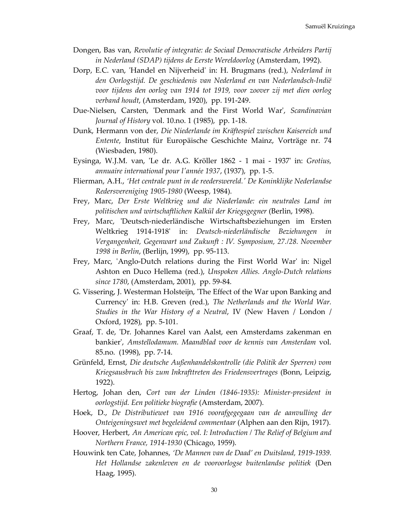- Dongen, Bas van, *Revolutie of integratie: de Sociaal Democratische Arbeiders Partij in Nederland (SDAP) tijdens de Eerste Wereldoorlog* (Amsterdam, 1992).
- Dorp, E.C. van, 'Handel en Nijverheid' in: H. Brugmans (red.), *Nederland in den Oorlogstijd. De geschiedenis van Nederland en van Nederlandsch-Indië voor tijdens den oorlog van 1914 tot 1919, voor zoover zij met dien oorlog verband houdt*, (Amsterdam, 1920), pp. 191-249.
- Due-Nielsen, Carsten, 'Denmark and the First World War', *Scandinavian Journal of History* vol. 10.no. 1 (1985), pp. 1-18.
- Dunk, Hermann von der, *Die Niederlande im Kräftespiel zwischen Kaisereich und Entente*, Institut für Europäische Geschichte Mainz, Vorträge nr. 74 (Wiesbaden, 1980).
- Eysinga, W.J.M. van, 'Le dr. A.G. Kröller 1862 1 mai 1937' in: *Grotius, annuaire international pour l'année 1937*, (1937), pp. 1-5.
- Flierman, A.H., *'Het centrale punt in de reederswereld.' De Koninklijke Nederlandse Redersvereniging 1905-1980* (Weesp, 1984).
- Frey, Marc, *Der Erste Weltkrieg und die Niederlande: ein neutrales Land im politischen und wirtschaftlichen Kalkül der Kriegsgegner* (Berlin, 1998).
- Frey, Marc, 'Deutsch-niederländische Wirtschaftsbeziehungen im Ersten Weltkrieg 1914-1918' in: *Deutsch-niederländische Beziehungen in Vergangenheit, Gegenwart und Zukunft : IV. Symposium, 27./28. November 1998 in Berlin*, (Berlijn, 1999), pp. 95-113.
- Frey, Marc, 'Anglo-Dutch relations during the First World War' in: Nigel Ashton en Duco Hellema (red.), *Unspoken Allies. Anglo-Dutch relations since 1780*, (Amsterdam, 2001), pp. 59-84.
- G. Vissering, J. Westerman Holsteijn, 'The Effect of the War upon Banking and Currency' in: H.B. Greven (red.), *The Netherlands and the World War. Studies in the War History of a Neutral*, IV (New Haven / London / Oxford, 1928), pp. 5-101.
- Graaf, T. de, 'Dr. Johannes Karel van Aalst, een Amsterdams zakenman en bankier', *Amstellodamum. Maandblad voor de kennis van Amsterdam* vol. 85.no. (1998), pp. 7-14.
- Grünfeld, Ernst, *Die deutsche Außenhandelskontrolle (die Politik der Sperren) vom Kriegsausbruch bis zum Inkrafttreten des Friedensvertrages* (Bonn, Leipzig, 1922).
- Hertog, Johan den, *Cort van der Linden (1846-1935): Minister-president in oorlogstijd. Een politieke biografie* (Amsterdam, 2007).
- Hoek, D., *De Distributiewet van 1916 voorafgegegaan van de aanvulling der Onteigeningswet met begeleidend commentaar* (Alphen aan den Rijn, 1917).
- Hoover, Herbert, *An American epic, vol. I: Introduction / The Relief of Belgium and Northern France, 1914-1930* (Chicago, 1959).
- Houwink ten Cate, Johannes, *'De Mannen van de Daad' en Duitsland, 1919-1939. Het Hollandse zakenleven en de vooroorlogse buitenlandse politiek* (Den Haag, 1995).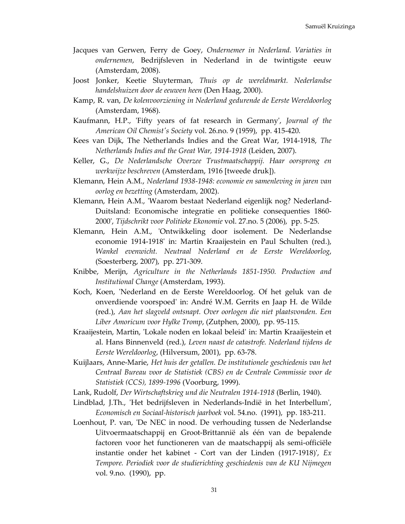- Jacques van Gerwen, Ferry de Goey, *Ondernemer in Nederland. Variaties in ondernemen*, Bedrijfsleven in Nederland in de twintigste eeuw (Amsterdam, 2008).
- Joost Jonker, Keetie Sluyterman, *Thuis op de wereldmarkt. Nederlandse handelshuizen door de eeuwen heen* (Den Haag, 2000).
- Kamp, R. van, *De kolenvoorziening in Nederland gedurende de Eerste Wereldoorlog* (Amsterdam, 1968).
- Kaufmann, H.P., 'Fifty years of fat research in Germany', *Journal of the American Oil Chemist's Society* vol. 26.no. 9 (1959), pp. 415-420.
- Kees van Dijk, The Netherlands Indies and the Great War, 1914-1918, *The Netherlands Indies and the Great War, 1914-1918* (Leiden, 2007).
- Keller, G., *De Nederlandsche Overzee Trustmaatschappij. Haar oorsprong en werkwijze beschreven* (Amsterdam, 1916 [tweede druk]).
- Klemann, Hein A.M., *Nederland 1938-1948: economie en samenleving in jaren van oorlog en bezetting* (Amsterdam, 2002).
- Klemann, Hein A.M., 'Waarom bestaat Nederland eigenlijk nog? Nederland-Duitsland: Economische integratie en politieke consequenties 1860- 2000', *Tijdschrikt voor Politieke Ekonomie* vol. 27.no. 5 (2006), pp. 5-25.
- Klemann, Hein A.M., 'Ontwikkeling door isolement. De Nederlandse economie 1914-1918' in: Martin Kraaijestein en Paul Schulten (red.), *Wankel evenwicht. Neutraal Nederland en de Eerste Wereldoorlog*, (Soesterberg, 2007), pp. 271-309.
- Knibbe, Merijn, *Agriculture in the Netherlands 1851-1950. Production and Institutional Change* (Amsterdam, 1993).
- Koch, Koen, 'Nederland en de Eerste Wereldoorlog. Of het geluk van de onverdiende voorspoed' in: André W.M. Gerrits en Jaap H. de Wilde (red.), *Aan het slagveld ontsnapt. Over oorlogen die niet plaatsvonden. Een Liber Amoricum voor Hylke Tromp*, (Zutphen, 2000), pp. 95-115.
- Kraaijestein, Martin, 'Lokale noden en lokaal beleid' in: Martin Kraaijestein et al. Hans Binnenveld (red.), *Leven naast de catastrofe. Nederland tijdens de Eerste Wereldoorlog*, (Hilversum, 2001), pp. 63-78.
- Kuijlaars, Anne-Marie, *Het huis der getallen. De institutionele geschiedenis van het Centraal Bureau voor de Statistiek (CBS) en de Centrale Commissie voor de Statistiek (CCS), 1899-1996* (Voorburg, 1999).
- Lank, Rudolf, *Der Wirtschaftskrieg und die Neutralen 1914-1918* (Berlin, 1940).
- Lindblad, J.Th., 'Het bedrijfsleven in Nederlands-Indië in het Interbellum', *Economisch en Sociaal-historisch jaarboek* vol. 54.no. (1991), pp. 183-211.
- Loenhout, P. van, 'De NEC in nood. De verhouding tussen de Nederlandse Uitvoermaatschappij en Groot-Brittannië als één van de bepalende factoren voor het functioneren van de maatschappij als semi-officiële instantie onder het kabinet - Cort van der Linden (1917-1918)', *Ex Tempore. Periodiek voor de studierichting geschiedenis van de KU Nijmegen* vol. 9.no. (1990), pp.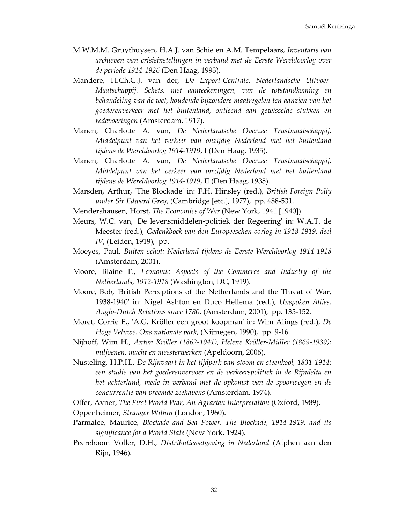- M.W.M.M. Gruythuysen, H.A.J. van Schie en A.M. Tempelaars, *Inventaris van archieven van crisisinstellingen in verband met de Eerste Wereldoorlog over de periode 1914-1926* (Den Haag, 1993).
- Mandere, H.Ch.G.J. van der, *De Export-Centrale. Nederlandsche Uitvoer-Maatschappij. Schets, met aanteekeningen, van de totstandkoming en behandeling van de wet, houdende bijzondere maatregelen ten aanzien van het goederenverkeer met het buitenland, ontleend aan gewisselde stukken en redevoeringen* (Amsterdam, 1917).
- Manen, Charlotte A. van, *De Nederlandsche Overzee Trustmaatschappij. Middelpunt van het verkeer van onzijdig Nederland met het buitenland tijdens de Wereldoorlog 1914-1919*, I (Den Haag, 1935).
- Manen, Charlotte A. van, *De Nederlandsche Overzee Trustmaatschappij. Middelpunt van het verkeer van onzijdig Nederland met het buitenland tijdens de Wereldoorlog 1914-1919*, II (Den Haag, 1935).
- Marsden, Arthur, 'The Blockade' in: F.H. Hinsley (red.), *British Foreign Poliy under Sir Edward Grey*, (Cambridge [etc.], 1977), pp. 488-531.
- Mendershausen, Horst, *The Economics of War* (New York, 1941 [1940]).
- Meurs, W.C. van, 'De levensmiddelen-politiek der Regeering' in: W.A.T. de Meester (red.), *Gedenkboek van den Europeeschen oorlog in 1918-1919, deel IV*, (Leiden, 1919), pp.
- Moeyes, Paul, *Buiten schot: Nederland tijdens de Eerste Wereldoorlog 1914-1918* (Amsterdam, 2001).
- Moore, Blaine F., *Economic Aspects of the Commerce and Industry of the Netherlands, 1912-1918* (Washington, DC, 1919).
- Moore, Bob, 'British Perceptions of the Netherlands and the Threat of War, 1938-1940' in: Nigel Ashton en Duco Hellema (red.), *Unspoken Allies. Anglo-Dutch Relations since 1780*, (Amsterdam, 2001), pp. 135-152.
- Moret, Corrie E., 'A.G. Kröller een groot koopman' in: Wim Alings (red.), *De Hoge Veluwe. Ons nationale park*, (Nijmegen, 1990), pp. 9-16.
- Nijhoff, Wim H., *Anton Kröller (1862-1941), Helene Kröller-Müller (1869-1939): miljoenen, macht en meesterwerken* (Apeldoorn, 2006).
- Nusteling, H.P.H., *De Rijnvaart in het tijdperk van stoom en steenkool, 1831-1914: een studie van het goederenvervoer en de verkeerspolitiek in de Rijndelta en het achterland, mede in verband met de opkomst van de spoorwegen en de concurrentie van vreemde zeehavens* (Amsterdam, 1974).
- Offer, Avner, *The First World War, An Agrarian Interpretation* (Oxford, 1989).

Oppenheimer, *Stranger Within* (London, 1960).

- Parmalee, Maurice, *Blockade and Sea Power. The Blockade, 1914-1919, and its significance for a World State* (New York, 1924).
- Peereboom Voller, D.H., *Distributiewetgeving in Nederland* (Alphen aan den Rijn, 1946).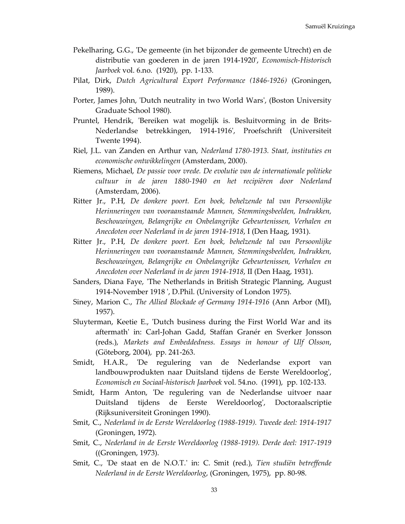- Pekelharing, G.G., 'De gemeente (in het bijzonder de gemeente Utrecht) en de distributie van goederen in de jaren 1914-1920', *Economisch-Historisch Jaarboek* vol. 6.no. (1920), pp. 1-133.
- Pilat, Dirk, *Dutch Agricultural Export Performance (1846-1926)* (Groningen, 1989).
- Porter, James John, 'Dutch neutrality in two World Wars', (Boston University Graduate School 1980).
- Pruntel, Hendrik, 'Bereiken wat mogelijk is. Besluitvorming in de Brits-Nederlandse betrekkingen, 1914-1916', Proefschrift (Universiteit Twente 1994).
- Riel, J.L. van Zanden en Arthur van, *Nederland 1780-1913. Staat, instituties en economische ontwikkelingen* (Amsterdam, 2000).
- Riemens, Michael, *De passie voor vrede. De evolutie van de internationale politieke cultuur in de jaren 1880-1940 en het recipiëren door Nederland* (Amsterdam, 2006).
- Ritter Jr., P.H, *De donkere poort. Een boek, behelzende tal van Persoonlijke Herinneringen van vooraanstaande Mannen, Stemmingsbeelden, Indrukken, Beschouwingen, Belangrijke en Onbelangrijke Gebeurtenissen, Verhalen en Anecdoten over Nederland in de jaren 1914-1918*, I (Den Haag, 1931).
- Ritter Jr., P.H, *De donkere poort. Een boek, behelzende tal van Persoonlijke Herinneringen van vooraanstaande Mannen, Stemmingsbeelden, Indrukken, Beschouwingen, Belangrijke en Onbelangrijke Gebeurtenissen, Verhalen en Anecdoten over Nederland in de jaren 1914-1918*, II (Den Haag, 1931).
- Sanders, Diana Faye, 'The Netherlands in British Strategic Planning, August 1914-November 1918 ', D.Phil. (University of London 1975).
- Siney, Marion C., *The Allied Blockade of Germany 1914-1916* (Ann Arbor (MI), 1957).
- Sluyterman, Keetie E., 'Dutch business during the First World War and its aftermath' in: Carl-Johan Gadd, Staffan Granér en Sverker Jonsson (reds.), *Markets and Embeddedness. Essays in honour of Ulf Olsson*, (Göteborg, 2004), pp. 241-263.
- Smidt, H.A.R., 'De regulering van de Nederlandse export van landbouwprodukten naar Duitsland tijdens de Eerste Wereldoorlog', *Economisch en Sociaal-historisch Jaarboek* vol. 54.no. (1991), pp. 102-133.
- Smidt, Harm Anton, 'De regulering van de Nederlandse uitvoer naar Duitsland tijdens de Eerste Wereldoorlog', Doctoraalscriptie (Rijksuniversiteit Groningen 1990).
- Smit, C., *Nederland in de Eerste Wereldoorlog (1988-1919). Tweede deel: 1914-1917* (Groningen, 1972).
- Smit, C., *Nederland in de Eerste Wereldoorlog (1988-1919). Derde deel: 1917-1919* ((Groningen, 1973).
- Smit, C., 'De staat en de N.O.T.' in: C. Smit (red.), *Tien studiën betreffende Nederland in de Eerste Wereldoorlog*, (Groningen, 1975), pp. 80-98.